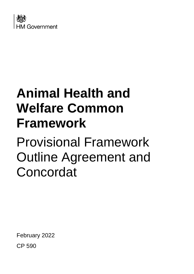

# **Animal Health and Welfare Common Framework**

# Provisional Framework Outline Agreement and **Concordat**

February 2022 CP 590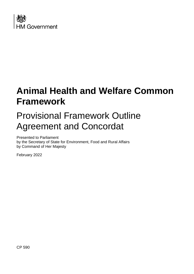

# **Animal Health and Welfare Common Framework**

# Provisional Framework Outline Agreement and Concordat

Presented to Parliament by the Secretary of State for Environment, Food and Rural Affairs by Command of Her Majesty

February 2022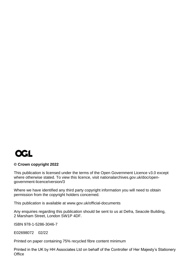

#### **© Crown copyright 2022**

This publication is licensed under the terms of the Open Government Licence v3.0 except where otherwise stated. To view this licence, visit [nationalarchives.gov.uk/doc/open](http://nationalarchives.gov.uk/doc/open-government-licence/version/3/)[government-licence/version/3](http://nationalarchives.gov.uk/doc/open-government-licence/version/3/)

Where we have identified any third party copyright information you will need to obtain permission from the copyright holders concerned.

This publication is available at [www.gov.uk/official-documents](http://www.gov.uk/official-documents)

Any enquiries regarding this publication should be sent to us at Defra, Seacole Building, 2 Marsham Street, London SW1P 4DF.

ISBN 978-1-5286-3046-7

E02698072 02/22

Printed on paper containing 75% recycled fibre content minimum

Printed in the UK by HH Associates Ltd on behalf of the Controller of Her Majesty's Stationery **Office**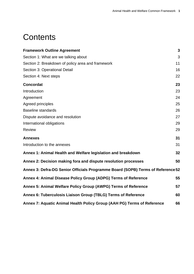# **Contents**

| <b>Framework Outline Agreement</b>                                              | 3        |
|---------------------------------------------------------------------------------|----------|
| Section 1: What are we talking about                                            | 3        |
| Section 2: Breakdown of policy area and framework                               | 11       |
| Section 3: Operational Detail<br>Section 4: Next steps                          | 16<br>22 |
|                                                                                 |          |
| Introduction                                                                    | 23       |
| Agreement                                                                       | 24       |
| Agreed principles                                                               | 25       |
| <b>Baseline standards</b>                                                       | 26       |
| Dispute avoidance and resolution                                                | 27       |
| International obligations                                                       | 29       |
| <b>Review</b>                                                                   | 29       |
| <b>Annexes</b>                                                                  | 31       |
| Introduction to the annexes                                                     | 31       |
| Annex 1: Animal Health and Welfare legislation and breakdown                    | 32       |
| Annex 2: Decision making fora and dispute resolution processes                  | 50       |
| Annex 3: Defra-DG Senior Officials Programme Board (SOPB) Terms of Reference 52 |          |
| Annex 4: Animal Disease Policy Group (ADPG) Terms of Reference                  | 55       |
| Annex 5: Animal Welfare Policy Group (AWPG) Terms of Reference                  | 57       |
| Annex 6: Tuberculosis Liaison Group (TBLG) Terms of Reference                   | 60       |
| Annex 7: Aquatic Animal Health Policy Group (AAH PG) Terms of Reference         | 66       |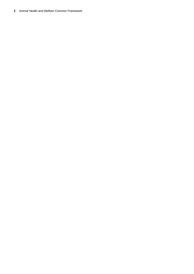Animal Health and Welfare Common Framework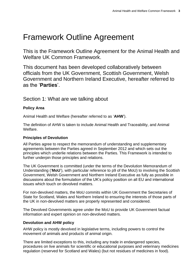# <span id="page-6-0"></span>Framework Outline Agreement

This is the Framework Outline Agreement for the Animal Health and Welfare UK Common Framework.

This document has been developed collaboratively between officials from the UK Government, Scottish Government, Welsh Government and Northern Ireland Executive, hereafter referred to as the '**Parties**'.

# <span id="page-6-1"></span>Section 1: What are we talking about

#### **Policy Area**

Animal Health and Welfare (hereafter referred to as '**AHW**').

The definition of AHW is taken to include Animal Health and Traceability, and Animal Welfare.

#### **Principles of Devolution**

All Parties agree to respect the memorandum of understanding and supplementary agreements between the Parties agreed in September 2012 and which sets out the principles which underlie relations between the Parties. This Framework is intended to further underpin those principles and relations.

The UK Government is committed (under the terms of the Devolution Memorandum of Understanding ('**MoU**'), with particular reference to p9 of the MoU) to involving the Scottish Government, Welsh Government and Northern Ireland Executive as fully as possible in discussions about the formulation of the UK's policy position on all EU and international issues which touch on devolved matters.

For non-devolved matters, the MoU commits within UK Government the Secretaries of State for Scotland, Wales and Northern Ireland to ensuring the interests of those parts of the UK in non-devolved matters are properly represented and considered.

The Devolved Governments agree under the MoU to provide UK Government factual information and expert opinion on non-devolved matters.

#### **Devolution and AHW policy**

AHW policy is mostly devolved in legislative terms, including powers to control the movement of animals and products of animal origin.

There are limited exceptions to this, including any trade in endangered species, procedures on live animals for scientific or educational purposes and veterinary medicines regulation (reserved for Scotland and Wales) (but not residues of medicines in food).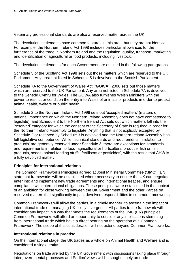Veterinary professional standards are also a reserved matter across the UK.

The devolution settlements have common features in this area, but they are not identical. For example, the Northern Ireland Act 1998 includes particular allowances for the furtherance of the trade in Northern Ireland and the regulation, quality, transport, marketing and identification of agricultural or food products, including livestock.

The devolution settlements for each Government are outlined in the following paragraphs.

Schedule 5 of the Scotland Act 1998 sets out those matters which are reserved to the UK Parliament. Any area not listed in Schedule 5 is devolved to the Scottish Parliament.

Schedule 7A to the Government of Wales Act ('**GOWA**') 2006 sets out those matters which are reserved to the UK Parliament. Any area not listed in Schedule 7A is devolved to the Senedd Cymru for Wales. The GOWA also furnishes Welsh Ministers with the power to restrict or condition the entry into Wales of animals or products in order to protect animal health, welfare or public health.

Schedule 2 to the Northern Ireland Act 1998 sets out 'excepted matters' (matters of national importance on which the Northern Ireland Assembly does not have competence to legislate), and Schedule 3 to the Northern Ireland Act sets out which matters fall into the 'reserved' category for which the consent of the Secretary of State is required in order for the Northern Ireland Assembly to legislate. Anything that is not explicitly excepted by Schedule 2 or reserved by Schedule 3 is devolved and the Northern Ireland Assembly has full legislative competence. While 'technical standards and requirements in relation to products' are generally reserved under Schedule 3, there are exceptions for 'standards and requirements in relation to food, agricultural or horticultural produce, fish or fish products, seeds, animal feeding stuffs, fertilisers or pesticides', with the result that AHW is a fully devolved matter.

#### **Principles for international relations**

The Common Frameworks Principles agreed at Joint Ministerial Committee ('**JMC**') (EN) state that frameworks will be established where necessary to ensure the UK can negotiate, enter into and implement new trade agreements and international treaties, and ensure compliance with international obligations. These principles were established in the context of an ambition for close working between the UK Government and the other Parties on reserved matters that significantly impact devolved responsibilities in common frameworks.

Common Frameworks will allow the parties, in a timely manner, to ascertain the impact of international trade on managing UK policy divergence. All parties to the framework will consider any impact in a way that meets the requirements of the JMC (EN) principles. Common Frameworks will afford an opportunity to consider any implications stemming from international trade which have a direct bearing on the operation of a Common Framework. The scope of this consideration will not extend beyond Common Frameworks.

#### **International relations in practise**

On the international stage, the UK trades as a whole on Animal Health and Welfare and is considered a single entity.

Negotiations on trade are led by the UK Government with discussions taking place through intergovernmental processes and Parties' views will be sought timely on trade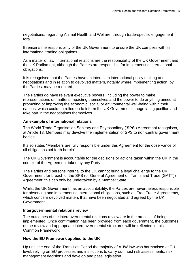negotiations, regarding Animal Health and Welfare, through trade-specific engagement fora.

It remains the responsibility of the UK Government to ensure the UK complies with its international trading obligations.

As a matter of law, international relations are the responsibility of the UK Government and the UK Parliament, although the Parties are responsible for implementing international obligations.

It is recognised that the Parties have an interest in international policy making and negotiations and in relation to devolved matters, notably where implementing action, by the Parties, may be required.

The Parties do have relevant executive powers, including the power to make representations on matters impacting themselves and the power to do anything aimed at promoting or improving the economic, social or environmental well-being within their nations, which could be relied on to inform the UK Government's negotiating position and take part in the negotiations themselves.

#### **An example of international relations**

The World Trade Organisation Sanitary and Phytosanitary ('**SPS**') Agreement recognises, at Article 13, Members may devolve the implementation of SPS to non-central government bodies.

It also states "Members are fully responsible under this Agreement for the observance of all obligations set forth herein".

The UK Government is accountable for the decisions or actions taken within the UK in the context of the Agreement taken by any Party.

The Parties and persons internal to the UK cannot bring a legal challenge to the UK Government for breach of the SPS (or General Agreement on Tariffs and Trade (GATT)) Agreement; this can only be undertaken by a Member State.

Whilst the UK Government has an accountability, the Parties are nevertheless responsible for observing and implementing international obligations, such as Free Trade Agreements, which concern devolved matters that have been negotiated and agreed by the UK Government.

#### **Intergovernmental relations review**

The outcomes of the intergovernmental relations review are in the process of being implemented. Once confirmation has been provided from each government, the outcomes of the review and appropriate intergovernmental structures will be reflected in this Common Framework.

#### **How the EU Framework applied to the UK**

Up until the end of the Transition Period the majority of AHW law was harmonised at EU level, relying on EU processes and institutions to carry out most risk assessments, risk management decisions and develop and pass legislation.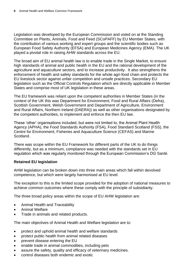Legislation was developed by the European Commission and voted on at the Standing Committee on Plants, Animals, Food and Feed (SCoPAFF) by EU Member States, with the contribution of various working and expert groups and the scientific bodies such as European Food Safety Authority (EFSA) and European Medicines Agency (EMA). The UK played a pivotal role in raising AHW standards across the EU.

The broad aim of EU animal health law is to enable trade in the Single Market, to ensure high standards of animal and public health in the EU and the rational development of the agriculture and aquaculture sectors, and to increase productivity. It also strengthens the enforcement of health and safety standards for the whole agri-food chain and protects the EU livestock sector against unfair competition and unsafe practices. Secondary EU legislation such as the Official Controls Regulation which are directly applicable in Member States and comprise most of UK legislation in these areas.

The EU framework was reliant upon the competent authorities in Member States (in the context of the UK this was Department for Environment, Food and Rural Affairs (Defra), Scottish Government, Welsh Government and Department of Agriculture, Environment and Rural Affairs, Northern Ireland (DAERA)) as well as other organisations designated by the competent authorities, to implement and enforce the then EU law.

These 'other' organisations included, but were not limited to, the Animal Plant Health Agency (APHA), the Food Standards Authority (FSA), Food Standard Scotland (FSS), the Centre for Environment, Fisheries and Aquaculture Science (CEFAS) and Marine Scotland.

There was scope within the EU Framework for different parts of the UK to do things differently, but as a minimum, compliance was needed with the standards set in EU regulation which was regularly monitored through the European Commission's DG Santé.

#### **Retained EU legislation**

AHW legislation can be broken down into three main areas which fall within devolved competence, but which were largely harmonised at EU level.

The exception to this is the limited scope provided for the adoption of national measures to achieve common outcomes where these comply with the principle of subsidiarity.

The three broad policy areas within the scope of EU AHW legislation are:

- Animal Health and Traceability
- Animal Welfare
- Trade in animals and related products.

The main objectives of Animal Health and Welfare legislation are to:

- protect and uphold animal health and welfare standards
- protect public health from animal related diseases
- prevent disease entering the EU
- enable trade in animal commodities, including pets
- assure the safety, quality and efficacy of veterinary medicines.
- control diseases both endemic and exotic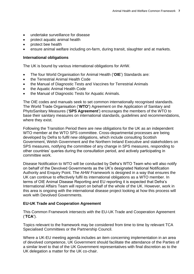- undertake surveillance for disease
- protect aquatic animal health
- protect bee health
- ensure animal welfare including on-farm, during transit, slaughter and at markets.

#### **International obligations**

The UK is bound by various international obligations for AHW.

- The four World Organisation for Animal Health ('**OIE**') Standards are:
- the Terrestrial Animal Health Code
- the Manual of Diagnostic Tests and Vaccines for Terrestrial Animals
- the Aquatic Animal Health Code
- the Manual of Diagnostic Tests for Aquatic Animals.

The OIE codes and manuals seek to set common internationally recognised standards. The World Trade Organisation ('**WTO'**) Agreement on the Application of Sanitary and PhytoSanitary Measures ('**SPS Agreement**') encourages the members of the WTO to base their sanitary measures on international standards, guidelines and recommendations, where they exist.

Following the Transition Period there are new obligations for the UK as an independent WTO member at the WTO SPS committee. Cross-departmental processes are being developed by Defra to fulfil new obligations, which include consulting Scottish Government, Welsh Government and the Northern Ireland Executive and stakeholders on SPS measures, notifying the committee of any change in SPS measures, responding to other countries' queries during the consultation period, and actively participating in committee work.

Disease Notification to WTO will be conducted by Defra's WTO Team who will also notify on behalf of the Devolved Governments as the UK's designated National Notification Authority and Enquiry Point. The AHW Framework is designed in a way that ensures the UK can continue to effectively fulfil its international obligations as a WTO member. In terms of OIE Animal Disease Reporting and EU reporting it is expected that Defra's International Affairs Team will report on behalf of the whole of the UK. However, work in this area is ongoing with the international disease project looking at how this process will work with Devolved Governments

#### **EU-UK Trade and Cooperation Agreement**

This Common Framework intersects with the EU-UK Trade and Cooperation Agreement ('**TCA'**).

Topics relevant to the framework may be considered from time to time by relevant TCA Specialised Committees or the Partnership Council.

Where a UK-EU meeting agenda includes an item concerning implementation in an area of devolved competence, UK Government should facilitate the attendance of the Parties of a similar level to that of the UK Government representatives with final discretion as to the UK delegation a matter for the UK co-chair.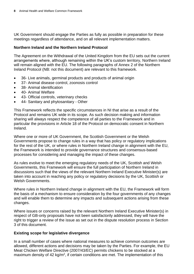UK Government should engage the Parties as fully as possible in preparation for these meetings regardless of attendance, and on all relevant implementation matters.

#### **Northern Ireland and the Northern Ireland Protocol**

The Agreement on the Withdrawal of the United Kingdom from the EU sets out the current arrangements where, although remaining within the UK's custom territory, Northern Ireland will remain aligned with the EU. The following paragraphs of Annex 2 of the Northern Ireland Protocol (NB: not this document) are relevant to this framework.

- 36- Live animals, germinal products and products of animal origin
- 37- Animal disease control, zoonosis control
- 38- Animal identification
- 40- Animal Welfare
- 43- Official controls, veterinary checks
- 44- Sanitary and phytosanitary Other

This Framework reflects the specific circumstances in NI that arise as a result of the Protocol and remains UK wide in its scope. As such decision making and information sharing will always respect the competence of all parties to the Framework and in particular the provisions in Article 18 of the Protocol on democratic consent in Northern Ireland.

Where one or more of UK Government, the Scottish Government or the Welsh Governments propose to change rules in a way that has policy or regulatory implications for the rest of the UK, or where rules in Northern Ireland change in alignment with the EU, the Framework is intended to provide governance structures and consensus-based processes for considering and managing the impact of these changes.

As rules evolve to meet the emerging regulatory needs of the UK, Scottish and Welsh Governments, this Framework will ensure the full participation of Northern Ireland in discussions such that the views of the relevant Northern Ireland Executive Minister(s) are taken into account in reaching any policy or regulatory decisions by the UK, Scottish or Welsh Governments.

Where rules in Northern Ireland change in alignment with the EU, the Framework will form the basis of a mechanism to ensure consideration by the four governments of any changes and will enable them to determine any impacts and subsequent actions arising from these changes.

Where issues or concerns raised by the relevant Northern Ireland Executive Minister(s) in respect of GB-only proposals have not been satisfactorily addressed, they will have the right to trigger a review of the issue as set out in the dispute resolution process in Section 3 of this document.

#### **Existing scope for legislative divergence**

In a small number of cases where national measures to achieve common outcomes are allowed, different actions and decisions may be taken by the Parties. For example, the EU Meat Chicken Welfare Directive (2007/43/EC) permits chickens to be stocked at a maximum density of 42 kg/m<sup>2</sup>, if certain conditions are met. The implementation of this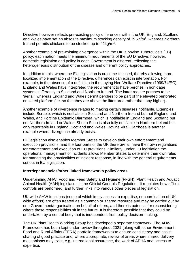Directive however reflects pre-existing policy differences within the UK. England, Scotland and Wales have set an absolute maximum stocking density of 39  $kg/m<sup>2</sup>$ , whereas Northern Ireland permits chickens to be stocked up to 42kg/m<sup>2</sup>.

Another example of pre-existing divergence within the UK is bovine Tuberculosis (TB) policy: each nation meets the minimum requirements of the EU Directive; however, domestic legislation and policy in each Government is different, reflecting the heterogeneous distribution of the disease and different policy approaches.

In addition to this, where the EU legislation is outcome-focused, thereby allowing more localized implementation of the Directive, differences can exist in interpretation. For example, in the absence of a definition in the Laying Hen Welfare Directive (1999/74/EC), England and Wales have interpreted the requirement to have perches in non-cage systems differently to Scotland and Northern Ireland. The latter require perches to be 'aerial', whereas England and Wales permit perches to be part of the elevated perforated or slated platform (i.e. so that they are above the litter area rather than any higher).

Another example of divergence relates to making certain diseases notifiable. Examples include Scrapie, which is notifiable in Scotland and Northern Ireland but not England and Wales, and Porcine Epidemic Diarrhoea, which is notifiable in England and Scotland but not Northern Ireland or Wales. Sheep Scab is also fully notifiable in Northern Ireland but only reportable in England, Scotland and Wales. Bovine Viral Diarrhoea is another example where divergence already exists.

EU legislation also enables Member States to develop their own enforcement and execution provisions, and the four parts of the UK therefore all have their own regulations for enforcement and execution of EU provisions. Similarly, under EU legislation the operational management of incidents allows Member States to determine their own rules for managing the practicalities of incident response, in line with the general requirements set out in EU legislation.

#### **Interdependencies/other linked frameworks policy areas**

Underpinning AHW, Food and Feed Safety and Hygiene (FFSH), Plant Health and Aquatic Animal Health (AAH) legislation is the Official Controls Regulation. It regulates how official controls are performed, and further links into various other pieces of legislation.

UK-wide AHW functions (some of which imply access to expertise, or coordination of UK wide efforts) are often treated as a common or shared resource and may be carried out by one Government/organisation on behalf of others, and there is potential for reconsidering where these responsibilities sit in the future. It is therefore possible that they could be undertaken by a central body that is independent from policy decision-making.

The UK Plant Health Working Group has developed a separate framework. The AHW Framework has been kept under review throughout 2021 (along with other Environment, Food and Rural Affairs (EFRA) portfolio frameworks) to ensure consistency and assist sharing of good practice and, where appropriate, review of areas where shared delivery mechanisms may exist, e.g. international assurance, the work of APHA and access to expertise.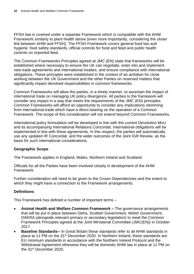FFSH law is covered under a separate Framework which is compatible with the AHW Framework similarly to plant health above (even more importantly, considering the closer link between AHW and FFSH). The FFSH Framework covers general food law and hygiene, food safety standards, official controls for food and feed and public health controls on imported feed.

The Common Frameworks Principles agreed at JMC (EN) state that frameworks will be established where necessary to ensure the UK can negotiate, enter into and implement new trade agreements and international treaties, and ensure compliance with international obligations. These principles were established in the context of an ambition for close working between the UK Government and the other Parties on reserved matters that significantly impact devolved responsibilities in common frameworks.

Common Frameworks will allow the parties, in a timely manner, to ascertain the impact of international trade on managing UK policy divergence. All parties to the framework will consider any impact in a way that meets the requirements of the JMC (EN) principles. Common Frameworks will afford an opportunity to consider any implications stemming from international trade which have a direct bearing on the operation of a Common Framework. The scope of this consideration will not extend beyond Common Frameworks.

International policy formulation will be developed in line with the current Devolution MoU and its accompanying International Relations Concordat. International obligations will be implemented in line with these agreements. In this respect, the parties will automatically use any updated IR Concordat, and the wider outcomes of the Joint IGR Review, as the basis for such international considerations.

#### **Geographic Scope**

The Framework applies in England, Wales, Northern Ireland and Scotland.

Officials for all the Parties have been involved closely in development of the AHW Framework.

Further consideration will need to be given to the Crown Dependencies and the extent to which they might have a connection to the Framework arrangements.

#### **Definitions**

This Framework has defined a number of important terms –

- **Animal Health and Welfare Common Framework –** The governance arrangements that will be put in place between Defra, Scottish Government, Welsh Government, DAERA (alongside relevant primary or secondary legislation) to meet the Common Framework Principles agreed at the Joint Ministerial Committee (JMC(EN)) in October 2017.
- **Baseline Standards--** In Great Britain these standards refer to all AHW standards in place at 11 PM on the 31<sup>st</sup> December 2020. In Northern Ireland, these standards are EU minimum standards in accordance with the Northern Ireland Protocol and the Withdrawal Agreement otherwise they will be domestic AHW law in place at 11 PM on the 31<sup>st</sup> December 2020.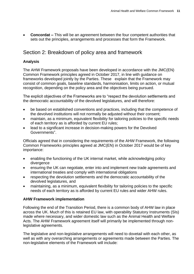• **Concordat –** This will be an agreement between the four competent authorities that sets out the principles, arrangements and processes that form the Framework.

# <span id="page-14-0"></span>Section 2: Breakdown of policy area and framework

#### **Analysis**

The AHW Framework proposals have been developed in accordance with the JMC(EN) Common Framework principles agreed in October 2017, in line with guidance on frameworks developed jointly by the Parties. These explain that the Framework may consist of common goals, baseline standards, harmonisation, limits on action, or mutual recognition, depending on the policy area and the objectives being pursued.

The explicit objectives of the Frameworks are to "respect the devolution settlements and the democratic accountability of the devolved legislatures, and will therefore:

- be based on established conventions and practices, including that the competence of the devolved institutions will not normally be adjusted without their consent;
- maintain, as a minimum, equivalent flexibility for tailoring policies to the specific needs of each territory as is afforded by current EU rules;
- lead to a significant increase in decision-making powers for the Devolved Governments".

Officials agreed that in considering the requirements of the AHW Framework, the following Common Frameworks principles agreed at JMC(EN) in October 2017 would be of key importance:

- enabling the functioning of the UK internal market, while acknowledging policy divergence
- ensuring the UK can negotiate, enter into and implement new trade agreements and international treaties and comply with international obligations
- respecting the devolution settlements and the democratic accountability of the devolved legislatures, and
- maintaining, as a minimum, equivalent flexibility for tailoring policies to the specific needs of each territory as is afforded by current EU rules and wider AHW rules.

#### **AHW Framework implementation**

Following the end of the Transition Period, there is a common body of AHW law in place across the UK. Much of this is retained EU law, with operability Statutory Instruments (SIs) made where necessary, and wider domestic law such as the Animal Health and Welfare Acts. The AHW Framework agreement itself will primarily be implemented through nonlegislative agreements.

The legislative and non-legislative arrangements will need to dovetail with each other, as well as with any overarching arrangements or agreements made between the Parties. The non-legislative elements of the Framework will include: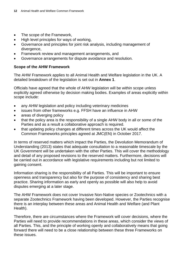- The scope of the Framework.
- High level principles for ways of working,
- Governance and principles for joint risk analysis, including management of divergence.
- Framework review and management arrangements, and
- Governance arrangements for dispute avoidance and resolution.

#### **Scope of the AHW Framework**

The AHW Framework applies to all Animal Health and Welfare legislation in the UK. A detailed breakdown of the legislation is set out in **Annex 1**.

Officials have agreed that the whole of AHW legislation will be within scope unless explicitly agreed otherwise by decision making bodies. Examples of areas explicitly within scope include:

- any AHW legislation and policy including veterinary medicines
- issues from other frameworks e.g. FFSH have an influence in AHW
- areas of diverging policy
- that the policy area is the responsibility of a single AHW body in all or some of the Parties and as a result a collaborative approach is required.
- that updating policy changes at different times across the UK would affect the Common Frameworks principles agreed at JMC(EN) in October 2017.

In terms of reserved matters which impact the Parties, the Devolution Memorandum of Understanding (2013) states that adequate consultation to a reasonable timescale by the UK Government will be undertaken with the other Parties. This will cover the methodology and detail of any proposed revisions to the reserved matters. Furthermore, decisions will be carried out in accordance with legislative requirements including but not limited to gaining consent.

Information sharing is the responsibility of all Parties. This will be important to ensure openness and transparency but also for the purpose of consistency and sharing best practice. Sharing information as early and openly as possible will also help to avoid disputes emerging at a later stage.

The AHW Framework does not cover Invasive Non-Native species or Zootechnics with a separate Zootechnics Framework having been developed. However, the Parties recognise there is an interplay between these areas and Animal Health and Welfare (and Plant Health).

Therefore, there are circumstances where the Framework will cover decisions, where the Parties will need to provide recommendations in these areas, which consider the views of all Parties. This, and the principle of working openly and collaboratively means that going forward there will need to be a close relationship between these three Frameworks on these issues.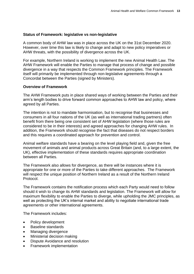#### **Status of Framework: legislative vs non-legislative**

A common body of AHW law was in place across the UK on the 31st December 2020. However, over time this law is likely to change and adapt to new policy imperatives or AHW threats, with the possibility of divergence across the UK.

For example, Northern Ireland is working to implement the new Animal Health Law. The AHW Framework will enable the Parties to manage that process of change and possible divergence in a way that respects the Common Framework principles. The Framework itself will primarily be implemented through non-legislative agreements through a Concordat between the Parties (signed by Ministers).

#### **Overview of Framework**

The AHW Framework puts in place shared ways of working between the Parties and their arm's length bodies to drive forward common approaches to AHW law and policy, where agreed by all Parties.

The intention is not to mandate harmonisation, but to recognise that businesses and consumers in all four nations of the UK (as well as international trading partners) often benefit from there being one consistent set of AHW legislation (where those rules are considered to be in their interests) and agreed approaches for changing AHW rules. In addition, the Framework should recognise the fact that diseases do not respect borders and this requires a coordinated approach for prevention and control.

Animal welfare standards have a bearing on the level playing field and, given the free movement of animals and animal products across Great Britain (and, to a large extent, the UK), effective implementation of these standards requires appropriate coordination between all Parties.

The Framework also allows for divergence, as there will be instances where it is appropriate for one or more of the Parties to take different approaches. The Framework will respect the unique position of Northern Ireland as a result of the Northern Ireland Protocol.

The Framework contains the notification process which each Party would need to follow should it wish to change its AHW standards and legislation. The Framework will allow for maximum flexibility to enable the Parties to diverge, while upholding the JMC principles, as well as protecting the UK's internal market and ability to negotiate international trade agreements or other international agreements.

The Framework includes:

- Policy development
- Baseline standards
- Managing divergence
- Ministerial decision making
- Dispute Avoidance and resolution
- Framework implementation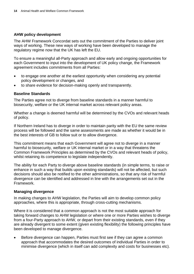#### **AHW policy development**

The AHW Framework Concordat sets out the commitment of the Parties to deliver joint ways of working. These new ways of working have been developed to manage the regulatory regime now that the UK has left the EU.

To ensure a meaningful all-Party approach and allow early and ongoing opportunities for each Government to input into the development of UK policy change, the Framework agreement includes commitments from all Parties:

- to engage one another at the earliest opportunity when considering any potential policy development or changes, and
- to share evidence for decision-making openly and transparently.

#### **Baseline Standards**

The Parties agree not to diverge from baseline standards in a manner harmful to biosecurity, welfare or the UK internal market across relevant policy areas.

Whether a change is deemed harmful will be determined by the CVOs and relevant heads of policy.

If Northern Ireland has to diverge in order to maintain parity with the EU the same review process will be followed and the same assessments are made as whether it would be in the best interests of GB to follow suit or to allow divergence.

This commitment means that each Government will agree not to diverge in a manner harmful to biosecurity, welfare or UK internal market or in a way that threatens the Common Framework Principles as determined by the CVOs and relevant heads of policy, whilst retaining its competence to legislate independently.

The ability for each Party to diverge above baseline standards (in simple terms, to raise or enhance in such a way that builds upon existing standards) will not be affected, but such decisions should also be notified to the other administrations, so that any risk of harmful divergence can be identified and addressed in line with the arrangements set out in the **Framework** 

#### **Managing divergence**

In making changes to AHW legislation, the Parties will aim to develop common policy approaches, where this is appropriate, through cross-cutting mechanisms.

Where it is considered that a common approach is not the most suitable approach for taking forward changes to AHW legislation or where one or more Parties wishes to diverge from a four-Party approach to AHW, or depart from their existing standards, even if they are already divergent to some extent (given existing flexibility) the following principles have been developed to manage divergence.

• Before divergence can happen, Parties must first see if they can agree a common approach that accommodates the desired outcomes of individual Parties in order to minimise divergence (which in itself can add complexity and costs for businesses etc).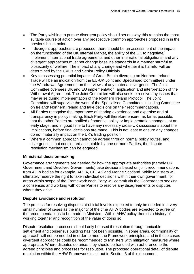- The Party wishing to pursue divergent policy should set out why this remains the most suitable course of action over any prospective common approaches proposed in in the previous bullet point.
- If divergent approaches are proposed, there should be an assessment of the impact on the functioning of the UK Internal Market, the ability of the UK to negotiate/ implement international trade agreements and other international obligations; and any divergent approaches must not change baseline standards in a manner harmful to biosecurity or welfare. The impact of any change and whether it is harmful will be determined by the CVOs and Senior Policy Officials
- Key to assessing potential impacts of Great Britain diverging on Northern Ireland Trade will be an indication from the EU-UK Joint and Specialised Committees under the Withdrawal Agreement, on their views of any material divergence. The Joint Committee oversees UK and EU implementation, application and interpretation of the Withdrawal Agreement. The Joint Committee will also seek to resolve any issues that may arise during implementation of the Northern Ireland Protocol. The Joint Committee will supervise the work of the Specialised Committees including Committee on Ireland/ Northern Ireland and take decisions on their recommendations.
- All Parties recognise the importance of sharing experience and expertise and of transparency in policy making. Each Party will therefore ensure, as far as possible, that the other Parties are notified of potential policy or implementation changes, at an early stage, and in good time to have any necessary cross-UK discussions about the implications, before final decisions are made. This is not least to ensure any changes do not materially impact on the UK's trading position.
- Where a common approach cannot be agreed through normal policy routes, and divergence is not considered acceptable by one or more Parties, the dispute resolution mechanism can be engaged.

#### **Ministerial decision-making**

Governance arrangements are needed for how the appropriate authorities (namely UK Government and Devolved Governments) take decisions based on joint recommendations from AHW bodies for example, APHA, CEFAS and Marine Scotland. While Ministers will ultimately reserve the right to take individual decisions within their own government, for areas within scope of the Framework each Party will commit via the Concordat to seeking a consensus and working with other Parties to resolve any disagreements or disputes where they arise.

#### **Dispute avoidance and resolution**

The process for resolving disputes at official level is expected to only be needed in a very small number of cases as the majority of the time AHW bodies are expected to agree on the recommendations to be made to Ministers. Within AHW policy there is a history of working together and recognition of the value of doing so.

Dispute resolution processes should only be used if resolution through amicable settlement and consensus building has not been possible. In some areas, commonality of approach will not be needed in order to meet the Framework principles, and in these cases divergent approaches could be recommended to Ministers with mitigation measures where appropriate. Where disputes do arise, they should be handled with adherence to the agreed principles and processes for resolution. The proposed operational detail of dispute resolution within the AHW Framework is set out in Section 3 of this document.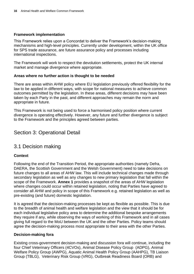#### **Framework implementation**

This Framework relies upon a Concordat to deliver the Framework's decision-making mechanisms and high-level principles. Currently under development, within the UK office for SPS trade assurance, are future assurance policy and processes including international inspections.

The Framework will work to respect the devolution settlements, protect the UK internal market and manage divergence where appropriate.

#### **Areas where no further action is thought to be needed**

There are areas within AHW policy where EU legislation previously offered flexibility for the law to be applied in different ways, with scope for national measures to achieve common outcomes permitted by the legislation. In these areas, different decisions may have been taken by each Party in the past, and different approaches may remain the norm and appropriate in future.

This Framework is not being used to force a harmonised policy position where current divergence is operating effectively. However, any future and further divergence is subject to the Framework and the principles agreed between parties.

# <span id="page-19-0"></span>Section 3: Operational Detail

### 3.1 Decision making

#### **Context**

Following the end of the Transition Period, the appropriate authorities (namely Defra, DAERA, the Scottish Government and the Welsh Government) need to take decisions on future changes to all areas of AHW law. This will include technical changes made through secondary legislation as well as any changes to new primary legislation that fall within the scope of the Framework. **Annex 1** provides a snapshot of the areas of AHW legislation where changes could occur within retained legislation, noting that Parties have agreed to consider all AHW and policy in scope of this Framework e.g. retained legislation as well as pre-existing (and future) domestic legislation.

It is agreed that the decision-making processes be kept as flexible as possible. This is due to the breadth of animal health and welfare legislation and the view that it should be for each individual legislative policy area to determine the additional bespoke arrangements they require if any, while observing the ways of working of this Framework and in all cases giving full regard to the MoU between the UK and the other Parties. Policy teams should agree the decision-making process most appropriate to their area with the other Parties.

#### **Decision-making fora**

Existing cross-government decision-making and discussion fora will continue, including the four Chief Veterinary Officers (4CVOs), Animal Disease Policy Group (ADPG), Animal Welfare Policy Group (AWPG), Aquatic Animal Health Policy Group (AAHPG), TB Liaison Group (TBLG), Veterinary Risk Group (VRG), Outbreak Readiness Board (ORB) and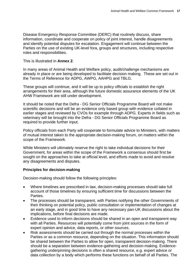Disease Emergency Response Committee (DERC) that routinely discuss, share information, coordinate and cooperate on policy of joint interest, handle disagreements and identify potential disputes for escalation. Engagement will continue between the Parties on the use of existing UK-level fora, groups and structures, including respective roles and responsibilities.

This is illustrated in **Annex 2**.

In many areas of Animal Health and Welfare policy, audit/challenge mechanisms are already in place or are being developed to facilitate decision making. These are set out in the Terms of Reference for ADPG, AWPG, AAHPG and TBLG.

These groups will continue, and it will be up to policy officials to establish the right arrangements for their area, although the future domestic assurance elements of the UK AHW Framework are still under development.

It should be noted that the Defra - DG Senior Officials Programme Board will not make scientific decisions and will be an evidence only based group with evidence collated in earlier stages and reviewed by CVOs for example through ADPG. Experts in fields such as veterinary will be brought into the Defra - DG Senior Officials Programme Board as required to provide further input.

Policy officials from each Party will cooperate to formulate advice to Ministers, with matters of mutual interest taken to the appropriate decision-making forum, on matters within the scope of the Framework.

While Ministers will ultimately reserve the right to take individual decisions for their Government, for areas within the scope of the Framework a consensus should first be sought on the approaches to take at official level, and efforts made to avoid and resolve any disagreements and disputes.

#### **Principles for decision-making**

Decision-making should follow the following principles:

- Where timelines are prescribed in law, decision-making processes should take full account of those timelines by ensuring sufficient time for discussions between the Parties.
- The processes should be transparent, with Parties notifying the other Governments of their thinking on potential policy, public consultation or implementation of changes at an early stage, and in good time to have any necessary pan-UK discussions about the implications, before final decisions are made.
- Evidence used to inform decisions should be shared in an open and transparent way with all Parties. Resources will potentially come from joint sources in the form of expert opinion and advice, data reports, or other sources.
- Risk assessments should be carried out through the normal processes within the Parties or as a common resource, depending on the situation. This information should be shared between the Parties to allow for open, transparent decision-making. There should be a separation between evidence-gathering and decision-making. Evidencegathering underpinning decisions is often a shared resource, e.g. expert advice or data collection by a body which performs these functions on behalf of all Parties. The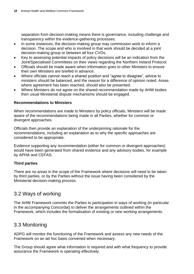separation from decision-making means there is governance, including challenge and transparency within the evidence-gathering processes.

- In some instances, the decision-making group may commission work to inform a decision. The scope and who is involved in that work should be decided at a joint decision-making group or between all four CVOs.
- Key to assessing potential impacts of policy decisions will be an indication from the Joint/Specialised Committees on their views regarding the Northern Ireland Protocol.
- Officials should be made aware when information goes to other Ministers to ensure their own Ministers are briefed in advance.
- Where officials cannot reach a shared position and "agree to disagree", advice to ministers should be balanced, and the reason for a difference of opinion noted. Areas where agreement has been reached, should also be presented.
- Where Ministers do not agree on the shared recommendation made by AHW bodies then usual Ministerial dispute mechanisms should be engaged.

#### **Recommendations to Ministers**

When recommendations are made to Ministers by policy officials, Ministers will be made aware of the recommendations being made in all Parties, whether for common or divergent approaches.

Officials then provide an explanation of the underpinning rationale for the recommendations, including an explanation as to why the specific approaches are considered to be appropriate.

Evidence supporting any recommendation (either for common or divergent approaches) would have been generated from shared evidence and any advisory bodies, for example by APHA and CEFAS.

#### **Third parties**

There are no areas in the scope of the Framework where decisions will need to be taken by third parties, or by the Parties without the issue having been considered by the Ministerial decision-making process.

# 3.2 Ways of working

The AHW Framework commits the Parties to participation in ways of working (in particular in the accompanying Concordat) to deliver the arrangements outlined within the Framework, which includes the formalisation of existing or new working arrangements.

# 3.3 Monitoring

ADPG will monitor the functioning of the Framework and assess any new needs of the Framework on an ad hoc basis convened when necessary.

The Group should agree what information is required and with what frequency to provide assurance the Framework is operating effectively.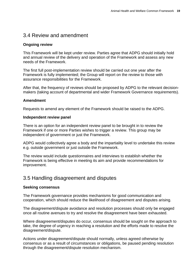# 3.4 Review and amendment

#### **Ongoing review**

This Framework will be kept under review. Parties agree that ADPG should initially hold and annual review of the delivery and operation of the Framework and assess any new needs of the Framework.

The first full post-implementation review should be carried out one year after the Framework is fully implemented; the Group will report on the review to those with assurance responsibilities for the Framework.

After that, the frequency of reviews should be proposed by ADPG to the relevant decisionmakers (taking account of departmental and wider Framework Governance requirements).

#### **Amendment**

Requests to amend any element of the Framework should be raised to the ADPG.

#### **Independent review panel**

There is an option for an independent review panel to be brought in to review the Framework if one or more Parties wishes to trigger a review. This group may be independent of government or just the Framework.

ADPG would collectively agree a body and the impartiality level to undertake this review e.g. outside government or just outside the Framework.

The review would include questionnaires and interviews to establish whether the Framework is being effective in meeting its aim and provide recommendations for improvement.

# 3.5 Handling disagreement and disputes

#### **Seeking consensus**

The Framework governance provides mechanisms for good communication and cooperation, which should reduce the likelihood of disagreement and disputes arising.

The disagreement/dispute avoidance and resolution processes should only be engaged once all routine avenues to try and resolve the disagreement have been exhausted.

Where disagreement/disputes do occur, consensus should be sought on the approach to take, the degree of urgency in reaching a resolution and the efforts made to resolve the disagreement/dispute.

Actions under disagreement/dispute should normally, unless agreed otherwise by consensus or as a result of circumstances or obligations, be paused pending resolution through the disagreement/dispute resolution mechanism.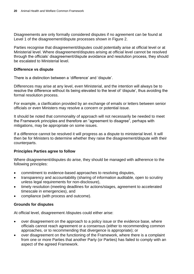Disagreements are only formally considered disputes if no agreement can be found at Level 1 of the disagreement/dispute processes shown in Figure 2.

Parties recognise that disagreement/disputes could potentially arise at official level or at Ministerial level. Where disagreement/disputes arising at official level cannot be resolved through the officials' disagreement/dispute avoidance and resolution process, they should be escalated to Ministerial level.

#### **Difference vs dispute**

There is a distinction between a 'difference' and 'dispute'.

Differences may arise at any level, even Ministerial, and the intention will always be to resolve the difference without its being elevated to the level of 'dispute', thus avoiding the formal resolution process.

For example, a clarification provided by an exchange of emails or letters between senior officials or even Ministers may resolve a concern or potential issue.

It should be noted that commonality of approach will not necessarily be needed to meet the Framework principles and therefore an "agreement to disagree", perhaps with mitigations, may be appropriate on some issues.

If a difference cannot be resolved it will progress as a dispute to ministerial level. It will then be for Ministers to determine whether they raise the disagreement/dispute with their counterparts.

#### **Principles Parties agree to follow**

Where disagreement/disputes do arise, they should be managed with adherence to the following principles:

- commitment to evidence-based approaches to resolving disputes,
- transparency and accountability (sharing of information auditable, open to scrutiny unless legal requirements for non-disclosure),
- timely resolution (meeting deadlines for actions/stages, agreement to accelerated timescale in emergencies), and
- compliance (with process and outcome).

#### **Grounds for disputes**

At official level, disagreement /disputes could either arise:

- over disagreement on the approach to a policy issue or the evidence base, where officials cannot reach agreement or a consensus (either to recommending common approaches, or to recommending that divergence is appropriate); or
- over disagreement on the functioning of the Framework, where there is a complaint from one or more Parties that another Party (or Parties) has failed to comply with an aspect of the agreed Framework.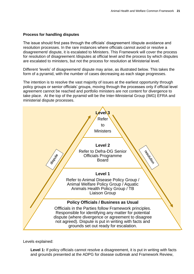#### **Process for handling disputes**

The issue should first pass through the officials' disagreement /dispute avoidance and resolution processes. In the rare instances where officials cannot avoid or resolve a disagreement/ dispute, it is escalated to Ministers. This Framework will cover the process for resolution of disagreement /disputes at official level and the process by which disputes are escalated to ministers, but not the process for resolution at Ministerial level.

Different 'levels' of disagreement/ dispute may arise, as illustrated below. This takes the form of a pyramid, with the number of cases decreasing as each stage progresses.

The intention is to resolve the vast majority of issues at the earliest opportunity through policy groups or senior officials' groups, moving through the processes only if official level agreement cannot be reached and portfolio ministers are not content for divergence to take place. At the top of the pyramid will be the Inter-Ministerial Group (IMG) EFRA and ministerial dispute processes.



Levels explained:

Level 1: If policy officials cannot resolve a disagreement, it is put in writing with facts and grounds presented at the ADPG for disease outbreak and Framework Review,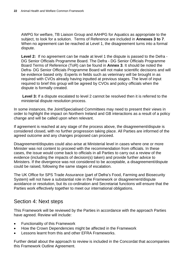AWPG for welfare, TB Liaison Group and AAHPG for Aquatics as appropriate to the subject, to look for a solution. Terms of Reference are included in **Annexes 3 to 7**. When no agreement can be reached at Level 1, the disagreement turns into a formal dispute.

**Level 2:** If no agreement can be made at level 1 the dispute is passed to the Defra - DG Senior Officials Programme Board. The Defra - DG Senior Officials Programme Board Terms of Reference (ToR) can be found in **Annex 3**. It should be noted the Defra- DG Senior Officials Programme Board will not make scientific decisions and will be evidence based only. Experts in fields such as veterinary will be brought in as required with CVOs already having inputted at previous stages. The level of input required to brief this group will be agreed by CVOs and policy officials when the dispute is formally created.

Level 3: If a dispute escalated to level 2 cannot be resolved then it is referred to the ministerial dispute resolution process.

In some instances, the Joint/Specialised Committees may need to present their views in order to highlight the impact on Northern Ireland and GB interactions as a result of a policy change and will be called upon when relevant.

If agreement is reached at any stage of the process above, the disagreement/dispute is considered closed, with no further progression taking place. All Parties are informed of the agreed outcome and any changes proposed can proceed.

Disagreement/disputes could also arise at Ministerial level in cases where one or more Minister was not content to proceed with the recommendation from officials. In these cases, the issue would come back to officials in all Parties to carry out a review of the evidence (including the impacts of decision(s) taken) and provide further advice to Ministers. If the divergence was not considered to be acceptable, a disagreement/dispute could be raised, following the same stages of escalation.

The UK Office for SPS Trade Assurance (part of Defra's Food, Farming and Biosecurity System) will not have a substantial role in the Framework or disagreement/dispute avoidance or resolution, but its co-ordination and Secretariat functions will ensure that the Parties work effectively together to meet our international obligations.

# <span id="page-25-0"></span>Section 4: Next steps

This Framework will be reviewed by the Parties in accordance with the approach Parties have agreed. Review will include:

- Functionality of this Framework
- How the Crown Dependencies might be affected in the Framework
- Lessons learnt from this and other EFRA Frameworks.

Further detail about the approach to review is included in the Concordat that accompanies this Framework Outline Agreement.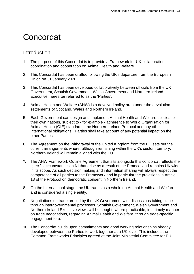# <span id="page-26-0"></span>Concordat

## <span id="page-26-1"></span>**Introduction**

- 1. The purpose of this Concordat is to provide a Framework for UK collaboration, coordination and cooperation on Animal Health and Welfare.
- 2. This Concordat has been drafted following the UK's departure from the European Union on 31 January 2020.
- 3. This Concordat has been developed collaboratively between officials from the UK Government, Scottish Government, Welsh Government and Northern Ireland Executive, hereafter referred to as the 'Parties'.
- 4. Animal Health and Welfare (AHW) is a devolved policy area under the devolution settlements of Scotland, Wales and Northern Ireland.
- 5. Each Government can design and implement Animal Health and Welfare policies for their own nations, subject to - for example - adherence to World Organisation for Animal Health (OIE) standards, the Northern Ireland Protocol and any other international obligations. Parties shall take account of any potential impact on the other Parties.
- 6. The Agreement on the Withdrawal of the United Kingdom from the EU sets out the current arrangements where, although remaining within the UK's custom territory, Northern Ireland will remain aligned with the EU.
- 7. The AHW Framework Outline Agreement that sits alongside this concordat reflects the specific circumstances in NI that arise as a result of the Protocol and remains UK wide in its scope. As such decision making and information sharing will always respect the competence of all parties to the Framework and in particular the provisions in Article 18 of the Protocol on democratic consent in Northern Ireland.
- 8. On the International stage, the UK trades as a whole on Animal Health and Welfare and is considered a single entity.
- 9. Negotiations on trade are led by the UK Government with discussions taking place through intergovernmental processes. Scottish Government, Welsh Government and Northern Ireland Executive views will be sought, where practicable, in a timely manner on trade negotiations, regarding Animal Health and Welfare, through trade-specific engagement fora.
- 10. The Concordat builds upon commitments and good working relationships already developed between the Parties to work together at a UK level. This includes the Common Frameworks Principles agreed at the Joint Ministerial Committee for EU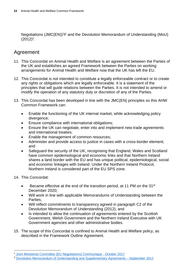Negotiations (JMC(EN))<sup>1</sup>F and the Devolution Memorandum of Understanding (MoU)  $(2012)^2$ .

## <span id="page-27-0"></span>Agreement

- 11. This Concordat on Animal Health and Welfare is an agreement between the Parties of the UK and establishes an agreed Framework between the Parties on working arrangements for Animal Health and Welfare now that the UK has left the EU.
- 12. This Concordat is not intended to constitute a legally enforceable contract or to create any rights or obligations which are legally enforceable. It is a statement of the principles that will guide relations between the Parties. It is not intended to amend or modify the operation of any statutory duty or discretion of any of the Parties.
- 13. This Concordat has been developed in line with the JMC(EN) principles so this AHW Common Framework can:
	- Enable the functioning of the UK internal market, while acknowledging policy divergence;
	- Ensure compliance with international obligations;
	- Ensure the UK can negotiate, enter into and implement new trade agreements and international treaties;
	- Enable the management of common resources;
	- Administer and provide access to justice in cases with a cross-border element: and
	- Safeguard the security of the UK, recognising that England, Wales and Scotland have common epidemiological and economic links and that Northern Ireland shares a land border with the EU and has unique political, epidemiological, social and economic linkages with Ireland. Under the Northern Ireland Protocol, Northern Ireland is considered part of the EU SPS zone.
- 14. This Concordat:
	- Became effective at the end of the transition period, at 11 PM on the  $31<sup>st</sup>$ December 2020;
	- Will work in line with applicable Memorandums of Understanding between the Parties;
	- Will reflect commitments to transparency agreed in paragraph C2 of the Devolution Memorandum of Understanding (2012); and
	- Is intended to allow the continuation of agreements entered by the Scottish Government, Welsh Government and the Northern Ireland Executive with UK Government agencies and other administrative bodies.
- 15. The scope of this Concordat is confined to Animal Health and Welfare policy, as described in the Framework Outline Agreement.

<sup>1</sup> [Joint Ministerial Committee \(EU Negotiations\) Communique -](https://assets.publishing.service.gov.uk/government/uploads/system/uploads/attachment_data/file/652285/Joint_Ministerial_Committee_communique.pdf) October 2017

<sup>2</sup> [Devolution Memorandum of Understanding and Supplementary Agreements –](https://assets.publishing.service.gov.uk/government/uploads/system/uploads/attachment_data/file/316157/MoU_between_the_UK_and_the_Devolved_Administrations.pdf) September 2012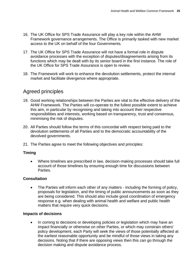- 16. The UK Office for SPS Trade Assurance will play a key role within the AHW Framework governance arrangements. The Office is primarily tasked with new market access to the UK on behalf of the four Governments.
- 17. The UK Office for SPS Trade Assurance will not have a formal role in dispute avoidance processes with the exception of disputes/disagreements arising from its functions which may be dealt with by its senior board in the first instance. The role of the UK Office for SPS Trade Assurance is open to review.
- 18. The Framework will work to enhance the devolution settlements, protect the internal market and facilitate divergence where appropriate.

## <span id="page-28-0"></span>Agreed principles

- 19. Good working relationships between the Parties are vital to the effective delivery of the AHW Framework. The Parties will co-operate to the fullest possible extent to achieve this aim, in particular by recognising and taking into account their respective responsibilities and interests, working based on transparency, trust and consensus, minimising the risk of disputes.
- 20. All Parties should follow the terms of this concordat with respect being paid to the devolution settlements of all Parties and to the democratic accountability of the devolved governments.
- 21. The Parties agree to meet the following objectives and principles:

#### **Timing**

• Where timelines are prescribed in law, decision-making processes should take full account of those timelines by ensuring enough time for discussions between Parties.

#### **Consultation**

The Parties will inform each other of any matters - including the forming of policy, proposals for legislation, and the timing of public announcements as soon as they are being considered. This should also include good coordination of emergency response e.g. when dealing with animal health and welfare and public health matters that require very quick decisions.

#### **Impacts of decisions**

• In coming to decisions or developing policies or legislation which may have an impact financially or otherwise on other Parties, or which may constrain others' policy development, each Party will seek the views of those potentially affected at the earliest reasonable opportunity and be mindful of those views in taking any decisions. Noting that if there are opposing views then this can go through the decision making and dispute avoidance process.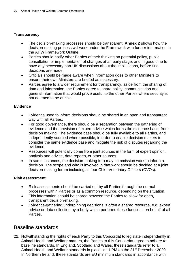#### **Transparency**

- The decision-making processes should be transparent. **Annex 2** shows how the decision-making process will work under the Framework with further information in the AHW Framework Outline.
- Parties should notify other Parties of their thinking on potential policy, public consultation or implementation of changes at an early stage, and in good time to have any necessary pan-UK discussions about the implications, before final decisions are made.
- Officials should be made aware when information goes to other Ministers to ensure their own Ministers are briefed as necessary.
- Parties agree to a wider requirement for transparency, aside from the sharing of data and information, the Parties agree to share policy, communication and general information that would prove useful to the other Parties where security is not deemed to be at risk.

#### **Evidence**

- Evidence used to inform decisions should be shared in an open and transparent way with all Parties.
- For good governance, there should be a separation between the gathering of evidence and the provision of expert advice which forms the evidence base, from decision making. The evidence base should be fully available to all Parties, and independently sourced where possible, in order to enable decision makers to consider the same evidence base and mitigate the risk of disputes regarding the evidence.
- Resources will potentially come from joint sources in the form of expert opinion, analysis and advice, data reports, or other sources.
- In some instances, the decision-making fora may commission work to inform a decision. The scope and who is involved in that work should be decided at a joint decision-making forum including all four Chief Veterinary Officers (CVOs).

#### **Risk assessment**

- Risk assessments should be carried out by all Parties through the normal processes within Parties or as a common resource, depending on the situation.
- This information should be shared between the Parties to allow for open, transparent decision-making.
- Evidence-gathering underpinning decisions is often a shared resource, e.g. expert advice or data collection by a body which performs these functions on behalf of all Parties.

### <span id="page-29-0"></span>Baseline standards

22. Notwithstanding the rights of each Party to this Concordat to legislate independently in Animal Health and Welfare matters, the Parties to this Concordat agree to adhere to baseline standards. In England, Scotland and Wales, these standards refer to all Animal Health and Welfare standards in place at 11 PM on the 31<sup>st</sup> December 2020. In Northern Ireland, these standards are EU minimum standards in accordance with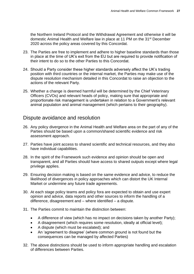the Northern Ireland Protocol and the Withdrawal Agreement and otherwise it will be domestic Animal Health and Welfare law in place at 11 PM on the 31st December 2020 across the policy areas covered by this Concordat.

- 23. The Parties are free to implement and adhere to higher baseline standards than those in place at the time of UK's exit from the EU but are required to provide notification of their intent to do so to the other Parties to this Concordat.
- 24. Should a Party consider these higher standards adversely affect the UK's trading position with third countries or the internal market, the Parties may make use of the dispute resolution mechanism detailed in this Concordat to raise an objection to the actions of the relevant Party.
- 25. Whether a change is deemed harmful will be determined by the Chief Veterinary Officers (CVOs) and relevant heads of policy, making sure that appropriate and proportionate risk management is undertaken in relation to a Government's relevant animal population and animal management (which pertains to their geography).

### <span id="page-30-0"></span>Dispute avoidance and resolution

- 26. Any policy divergence in the Animal Health and Welfare area on the part of any of the Parties should be based upon a common/shared scientific evidence and risk assessment approach.
- 27. Parties have joint access to shared scientific and technical resources, and they also have individual capabilities.
- 28. In the spirit of the Framework such evidence and opinion should be open and transparent, and all Parties should have access to shared outputs except where legal privilege applies.
- 29. Ensuring decision making is based on the same evidence and advice, to reduce the likelihood of divergences in policy approaches which can distort the UK Internal Market or undermine any future trade agreements.
- 30. At each stage policy teams and policy fora are expected to obtain and use expert opinion and advice, data reports and other sources to inform the handling of a difference, disagreement and – where identified – a dispute.
- 31. The Parties commit to maintain the distinction between:
	- A difference of view (which has no impact on decisions taken by another Party);
	- A disagreement (which requires some resolution, ideally at official level);
	- A dispute (which must be escalated); and
	- An 'agreement to disagree' (where common ground is not found but the consequences can be managed by affected Parties)
- 32. The above distinctions should be used to inform appropriate handling and escalation of differences between Parties.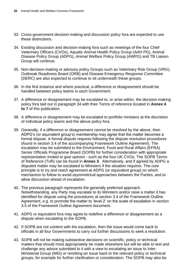- 33. Cross-government decision-making and discussion policy fora are expected to use these distinctions.
- 34. Existing discussion and decision-making fora such as meetings of the four Chief Veterinary Officers (CVOs), Aquatic Animal Health Policy Group (AAH PG), Animal Disease Policy Group (ADPG), Animal Welfare Policy Group (AWPG) and TB Liaison Group will continue.
- 35. Non-decision-making or advisory policy Groups such as Veterinary Risk Group (VRG), Outbreak Readiness Board (ORB) and Disease Emergency Response Committee (DERC) are also expected to continue to sit underneath these groups.
- 36. In the first instance and where practical, a difference or disagreement should be handled between policy teams in each Government.
- 37. A difference or disagreement may be escalated to, or arise within, the decision-making policy fora laid out in paragraph 34 with their Terms of reference located in **Annex 4 to 7** of this publication.
- 38. A difference or disagreement may be escalated to portfolio ministers at the discretion of individual policy teams and the above policy fora.
- 39. Generally, if a difference or disagreement cannot be resolved by the above, then ADPG's (or equivalent group's) membership may agree that the matter becomes a formal dispute. A formal dispute requires following the dispute resolution procedures (found in section 3.4 of the accompanying Framework Outline Agreement). The escalation may be submitted to the Environment, Food and Rural Affairs (EFRA) Senior Officials Programme Board (SOPB) for further consideration with appropriate representation invited to give opinion - such as the four UK CVOs. The SOPB Terms of Reference (ToR) can be found in **Annex 3**. Alternatively, and if agreed by ADPG a disputed matter may be escalated to Ministers if the situation requires. The core principle is to try and reach agreement at ADPG (or equivalent group) on which mechanism to follow to avoid asymmetrical approaches between the Parties, and to allow discussion ahead of escalation.
- 40. The previous paragraph represents the generally preferred approach. Notwithstanding, any Party may escalate to its Ministers and/or raise a matter it has identified for dispute using the procedures at section 3.4 of the Framework Outline Agreement, e.g. to promote the matter to 'level 2' on the scale of escalation in section 3.5 of the Framework Outline Agreement document.
- 41. ADPG or equivalent fora may agree to redefine a difference or disagreement as a dispute when escalating to the SOPB.
- 42. If SOPB are not content with the escalation, then the issue would come back to officials in all four Governments to carry out further discussions to seek a resolution.
- 43. SOPB will not be making substantive decisions on scientific, policy or technical matters that should most appropriately be made elsewhere but will be able to test and challenge any advice submitted to it with a view to escalating an issue to Inter-Ministerial Group (IMG) or remitting an issue back to the relevant policy or technical groups, for example for further clarification or consideration. The SOPB may also be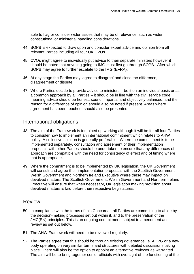able to flag or consider wider issues that may be of relevance, such as wider constitutional or ministerial handling considerations.

- 44. SOPB is expected to draw upon and consider expert advice and opinion from all relevant Parties including all four UK CVOs.
- 45. CVOs might agree to individually put advice to their separate ministers however it should be noted that anything going to IMG must first go through SOPB. After which SOPB may agree to further escalate to the IMG (EFRA).
- 46. At any stage the Parties may 'agree to disagree' and close the difference, disagreement or dispute.
- 47. Where Parties decide to provide advice to ministers be it on an individual basis or as a common approach by all Parties – it should be in line with the civil service code, meaning advice should be honest, sound, impartial and objectively balanced, and the reason for a difference of opinion should also be noted if present. Areas where agreement has been reached, should also be presented.

## <span id="page-32-0"></span>International obligations

- 48. The aim of the Framework is for joined up working although it will be for all four Parties to consider how to implement an international commitment which relates to AHW policy. A collective solution is generally preferable. Where the commitment is to be implemented separately, consultation and agreement of their implementation proposals with other Parties should be undertaken to ensure that any differences of approach are compatible with the need for consistency of effect and of timing where that is appropriate.
- 49. Where the commitment is to be implemented by UK legislation, the UK Government will consult and agree their implementation proposals with the Scottish Government, Welsh Government and Northern Ireland Executive where these may impact on devolved matters. The Scottish Government, Welsh Government and Northern Ireland Executive will ensure that when necessary, UK legislation making provision about devolved matters is laid before their respective Legislatures.

### <span id="page-32-1"></span>Review

- 50. In compliance with the terms of this Concordat, all Parties are committing to abide by the decision-making processes set out within it, and to the preservation of the JMC(EN) principles. This is an ongoing commitment, subject to amendment and review as set out below.
- 51. The AHW Framework will need to be reviewed regularly.
- 52. The Parties agree that this should be through existing governance i.e. ADPG or a new body operating on very similar terms and structures with detailed discussions taking place. There will also be the option to appoint an alternative reviewer as warranted. The aim will be to bring together senior officials with oversight of the functioning of the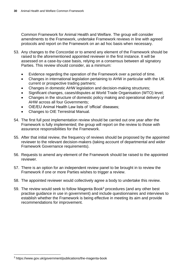Common Framework for Animal Health and Welfare. The group will consider amendments to the Framework, undertake Framework reviews in line with agreed protocols and report on the Framework on an ad hoc basis when necessary.

- 53. Any changes to the Concordat or to amend any element of the Framework should be raised to the aforementioned appointed reviewer in the first instance. It will be assessed on a case-by-case basis, relying on a consensus between all signatory Parties. This review should consider, as a minimum:
	- Evidence regarding the operation of the Framework over a period of time.
	- Changes in international legislation pertaining to AHW in particular with the UK current or prospective trading partners;
	- Changes in domestic AHW legislation and decision-making structures;
	- Significant changes, cases/disputes at World Trade Organisation (WTO) level;
	- Changes in the structure of domestic policy making and operational delivery of AHW across all four Governments;
	- OIE/EU Animal Health Law lists of 'official' diseases;
	- Changes to OIE Terrestrial Manual.
- 54. The first full post implementation review should be carried out one year after the Framework is fully implemented; the group will report on the review to those with assurance responsibilities for the Framework.
- 55. After that initial review, the frequency of reviews should be proposed by the appointed reviewer to the relevant decision-makers (taking account of departmental and wider Framework Governance requirements).
- 56. Requests to amend any element of the Framework should be raised to the appointed reviewer.
- 57. There is an option for an independent review panel to be brought in to review the Framework if one or more Parties wishes to trigger a review.
- 58. The appointed reviewer would collectively agree a body to undertake this review.
- 59. The review would seek to follow Magenta Book<sup>3</sup> procedures (and any other best practise guidance in use in government) and include questionnaires and interviews to establish whether the Framework is being effective in meeting its aim and provide recommendations for improvement.

<sup>3</sup> https://www.gov.uk/government/publications/the-magenta-book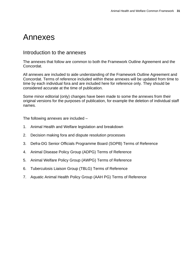# <span id="page-34-0"></span>Annexes

### <span id="page-34-1"></span>Introduction to the annexes

The annexes that follow are common to both the Framework Outline Agreement and the Concordat.

All annexes are included to aide understanding of the Framework Outline Agreement and Concordat. Terms of reference included within these annexes will be updated from time to time by each individual fora and are included here for reference only. They should be considered accurate at the time of publication.

Some minor editorial (only) changes have been made to some the annexes from their original versions for the purposes of publication, for example the deletion of individual staff names.

The following annexes are included –

- 1. Animal Health and Welfare legislation and breakdown
- 2. Decision making fora and dispute resolution processes
- 3. Defra-DG Senior Officials Programme Board (SOPB) Terms of Reference
- 4. Animal Disease Policy Group (ADPG) Terms of Reference
- 5. Animal Welfare Policy Group (AWPG) Terms of Reference
- 6. Tuberculosis Liaison Group (TBLG) Terms of Reference
- 7. Aquatic Animal Health Policy Group (AAH PG) Terms of Reference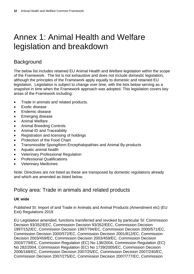# <span id="page-35-0"></span>Annex 1: Animal Health and Welfare legislation and breakdown

# **Background**

The below list includes retained EU Animal Health and Welfare legislation within the scope of the Framework. The list is not exhaustive and does not include domestic legislation, although the principles of the Framework apply equally to domestic and retained EU legislation. Legislation is subject to change over time, with the lists below serving as a snapshot in time when the Framework approach was adopted. This legislation covers key areas of the Framework including:

- Trade in animals and related products.
- Exotic disease
- Endemic disease
- Emerging disease
- Animal Welfare
- Animal Breeding Controls
- Animal ID and Traceability
- Registration and licensing of holdings
- Protection of the Food Chain
- Transmissible Spongiform Encephalopathies and Animal By-products
- Aquatic animal health
- Veterinary Professional Regulation
- Professional Qualifications
- Veterinary Medicines

Note: Directives are not listed as these are transposed by domestic regulations already and which are amended as listed below.

# Policy area: Trade in animals and related products

#### **UK wide**

Published SI: Import of and Trade in Animals and Animal Products (Amendment etc) (EU Exit) Regulations 2019

EU Legislation amended, functions transferred and revoked by particular SI: Commission Decision 93/352/EEC, Commission Decision 93/352/EEC, Commission Decision 1997/152/EC, Commission Decision 1997/794/EC, Commission Decision 2000/571/EC, Commission Decision 2000/572/EC, Commission Decision 2001/812/EC, Commission Decision 2003/459/EC, Commission Decision 2003/459/EC, Commission Decision 2003/779/EC, Commission Regulation (EC) No 136/2004, Commission Regulation (EC) No 282/2004, Commission Regulation (EC) No 1739/2005/EC, Commission Decision 2006/168/EC, Commission Decision 2007/25/EC, Commission Decision 2007/240/EC, Commission Decision 2007/275/EC, Commission Decision 2007/777/EC, Commission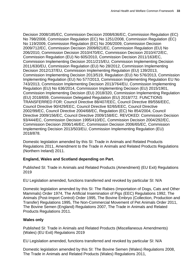Decision 2008/185/EC, Commission Decision 2008/636/EC, Commission Regulation (EC) No 798/2008, Commission Regulation (EC) No 1251/2008, Commission Regulation (EC) No 119/2009, Commission Regulation (EC) No 206/2009, Commission Decision 2009/712/EC, Commission Decision 2009/821/EC, Commission Regulation (EU) No 206/2010, Commission Decision 2010/470/EC, Commission Decision 2010/472/EC, Commission Regulation (EU) No 605/2010, Commission Decision 2011/163/EC, Commission Implementing Decision 2011/215/EU, Commission Implementing Decision 2011/630/EU, Commission Regulation (EU) No 28/2012, Commission Implementing Decision 2012/137/EU, Commission Implementing Regulation (EU) 139/2013, Commission Implementing Decision 2013/519, Regulation (EU) No 576/2013, Commission Implementing Regulation (EU) No 577/2013, Commission Implementing Regulation EU No 743/2013, Commission Implementing Decision 2013/764/EU, Commission Implementing Regulation (EU) No 636/2014, Commission Implementing Decision (EU) 2015/1901, Commission Implementing Decision (EU) 2018/320, Commission Implementing Regulation (EU) 2018/659, Commission Delegated Regulation (EU) 2018/772. FUNCTIONS TRANSFERRED FOR: Council Directive 88/407/EEC, Council Directive 89/556/EEC, Council Directive 90/429/EEC, Council Directive 92/65/EEC, Council Directive 2002/99/EC, Council Directive 2004/68/EC, Regulation (EC) No 854/2004, Council Directive 2009/156/EC, Council Directive 2009/158/EC. REVOKED: Commission Decision 93/444/EC, Commission Decision 1995/410/EC, Commission Decision 2004/292/EC, Commission Decision 2006/146/EC, Commission Decision 2006/65/EC, Commission Implementing Decision 2013/503/EU, Commission Implementing Regulation (EU) 2018/878.

Domestic legislation amended by this SI: Trade in Animals and Related Products Regulations 2011, Amendment to the Trade in Animals and Related Products Regulations (Northern Ireland) 2011.

## **England, Wales and Scotland depending on Part.**

Published SI: Trade in Animals and Related Products (Amendment) (EU Exit) Regulations 2019

EU Legislation amended, functions transferred and revoked by particular SI: N/A

Domestic legislation amended by this SI: The Rabies (Importation of Dogs, Cats and Other Mammals) Order 1974, The Artificial Insemination of Pigs (EEC) Regulations 1992, The Animals (Post-Import Control) Order 1995, The Bovine Embryo (Collection, Production and Transfer) Regulations 1995, The Non-Commercial Movement of Pet Animals Order 2011, The Bovine Semen (England) Regulations 2007, The Trade in Animals and Related Products Regulations 2011.

## **Wales only**

Published SI: Trade in Animals and Related Products (Miscellaneous Amendments) (Wales) (EU Exit) Regulations 2019

EU Legislation amended, functions transferred and revoked by particular SI: N/A

Domestic legislation amended by this SI: The Bovine Semen (Wales) Regulations 2008, The Trade in Animals and Related Products (Wales) Regulations 2011,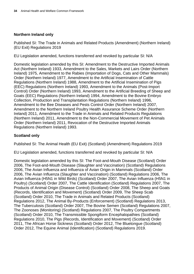## **Northern Ireland only**

Published SI: The Trade in Animals and Related Products (Amendment) (Northern Ireland) (EU Exit) Regulations 2019

EU Legislation amended, functions transferred and revoked by particular SI: N/A

Domestic legislation amended by this SI: Amendment to the Destructive Imported Animals Act (Northern Ireland) 1933, Amendment to the Sales, Markets and Lairs Order (Northern Ireland) 1975, Amendment to the Rabies (Importation of Dogs, Cats and Other Mammals) Order (Northern Ireland) 1977, Amendment to the Artificial Insemination of Cattle Regulations (Northern Ireland) 1988, Amendment to the Artificial Insemination of Pigs (EEC) Regulations (Northern Ireland) 1993, Amendment to the Animals (Post-Import Control) Order (Northern Ireland) 1993, Amendment to the Artificial Breeding of Sheep and Goats (EEC) Regulations (Northern Ireland) 1994, Amendment to the Bovine Embryo Collection, Production and Transplantation Regulations (Northern Ireland) 1996, Amendment to the Bee Diseases and Pests Control Order (Northern Ireland) 2007, Amendment to the Northern Ireland Poultry Health Assurance Scheme Order (Northern Ireland) 2011, Amendment to the Trade in Animals and Related Products Regulations (Northern Ireland) 2011, Amendment to the Non-Commercial Movement of Pet Animals Order (Northern Ireland) 2011, Revocation of the Destructive Imported Animals Regulations (Northern Ireland) 1993.

## **Scotland only**

Published SI: The Animal Health (EU Exit) (Scotland) (Amendment) Regulations 2019

EU Legislation amended, functions transferred and revoked by particular SI: N/A

Domestic legislation amended by this SI: The Foot-and-Mouth Disease (Scotland) Order 2006, The Foot-and-Mouth Disease (Slaughter and Vaccination) (Scotland) Regulations 2006, The Avian Influenza and Influenza of Avian Origin in Mammals (Scotland) Order 2006, The Avian Influenza (Slaughter and Vaccination) (Scotland) Regulations 2006, The Avian Influenza (H5N1 in Wild Birds) (Scotland) Order 2007, The Avian Influenza (H5N1 in Poultry) (Scotland) Order 2007, The Cattle Identification (Scotland) Regulations 2007, The Products of Animal Origin (Disease Control) (Scotland) Order 2008, The Sheep and Goats (Records, Identification and Movement) (Scotland) Order 2009, The Sheep Scab (Scotland) Order 2010, The Trade in Animals and Related Products (Scotland) Regulations 2012, The Animal By-Products (Enforcement) (Scotland) Regulations 2013, The Tuberculosis (Scotland) Order 2007, The Bovine Semen (Scotland) Regulations 2007, The Zoonoses (Monitoring) (Scotland) Regulations 2007, The Poultry Compartments (Scotland) Order 2010, The Transmissible Spongiform Encephalopathies (Scotland) Regulations 2010, The Pigs (Records, Identification and Movement) (Scotland) Order 2011, The African Horse Sickness (Scotland) Order 2012, The Bluetongue (Scotland) Order 2012, The Equine Animal (Identification) (Scotland) Regulations 2019.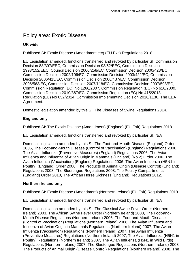## Policy area: Exotic Disease

## **UK wide**

Published SI: Exotic Disease (Amendment etc) (EU Exit) Regulations 2018

EU Legislation amended, functions transferred and revoked by particular SI: Commission Decision 88/397/EEC, Commission Decision 93/52/EEC, Commission Decision 1993/152/EEC, Council Decision 2000/258/EC, Commission Decision 2000/428/EC, Commission Decision 2002/106/EC, Commission Decision 2003/422/EC, Commission Decision 2006/415/EC, Commission Decision 2006/437/EC, Commission Decision 2006/563/EC, Commission Decision 2007/118/EC, Commission Decision 2007/598/EC, Commission Regulation (EC) No 1266/2007, Commission Regulation (EC) No 616/2009, Commission Decision 2010/367/EC, Commission Regulation (EC) No 415/2013, Regulation (EU) No 652/2014, Commission Implementing Decision 2018/1136, The EEA Agreement.

Domestic legislation amended by this SI: The Diseases of Swine Regulations 2014.

## **England only**

Published SI: The Exotic Disease (Amendment) (England) (EU Exit) Regulations 2018

EU Legislation amended, functions transferred and revoked by particular SI: N/A

Domestic legislation amended by this SI: The Foot-and-Mouth Disease (England) Order 2006, The Foot-and-Mouth Disease (Control of Vaccination) (England) Regulations 2006, The Avian Influenza (Preventive Measures) (England) Regulations 2006, The Avian Influenza and Influenza of Avian Origin in Mammals (England) (No 2) Order 2006, The Avian Influenza (Vaccination) (England) Regulations 2006, The Avian Influenza (H5N1 in Poultry) (England) Order 2006, The Products of Animal Origin (Disease Control) (England) Regulations 2008, The Bluetongue Regulations 2008, The Poultry Compartments (England) Order 2010, The African Horse Sickness (England) Regulations 2012.

#### **Northern Ireland only**

Published SI: Exotic Disease (Amendment) (Northern Ireland) (EU Exit) Regulations 2019

EU Legislation amended, functions transferred and revoked by particular SI: N/A

Domestic legislation amended by this SI: The Classical Swine Fever Order (Northern Ireland) 2003, The African Swine Fever Order (Northern Ireland) 2003, The Foot-and-Mouth Disease Regulations (Northern Ireland) 2006, The Foot-and-Mouth Disease (Control of Vaccination) Regulations (Northern Ireland) 2006, The Avian Influenza and Influenza of Avian Origin in Mammals Regulations (Northern Ireland) 2007, The Avian Influenza (Vaccination) Regulations (Northern Ireland) 2007, The Avian Influenza (Preventive Measures) Regulations (Northern Ireland) 2007, The Avian Influenza (H5N1 in Poultry) Regulations (Northern Ireland) 2007, The Avian Influenza (H5N1 in Wild Birds) Regulations (Northern Ireland) 2007, The Bluetongue Regulations (Northern Ireland) 2008, The Products of Animal Origin (Disease Control) Regulations (Northern Ireland) 2008, The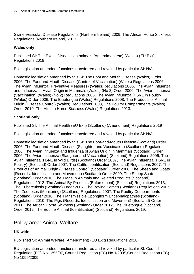Swine Vesicular Disease Regulations (Northern Ireland) 2009, The African Horse Sickness Regulations (Northern Ireland) 2013.

## **Wales only**

Published SI: The Exotic Diseases in animals (Amendment etc) (Wales) (EU Exit) Regulations 2018

EU Legislation amended, functions transferred and revoked by particular SI: N/A

Domestic legislation amended by this SI: The Foot and Mouth Disease (Wales) Order 2006, The Foot-and-Mouth Disease (Control of Vaccination) (Wales) Regulations 2006, The Avian Influenza (Preventive Measures) (Wales)Regulations 2006, The Avian Influenza and Influenza of Avian Origin in Mammals (Wales) (No 2) Order 2006, The Avian Influenza (Vaccination) (Wales) (No.2) Regulations 2006, The Avian Influenza (H5N1 in Poultry) (Wales) Order 2006, The Bluetongue (Wales) Regulations 2008, The Products of Animal Origin (Disease Control) (Wales) Regulations 2008, The Poultry Compartments (Wales) Order 2010, The African Horse Sickness (Wales) Regulations 2013.

## **Scotland only**

Published SI: The Animal Health (EU Exit) (Scotland) (Amendment) Regulations 2019

EU Legislation amended, functions transferred and revoked by particular SI: N/A

Domestic legislation amended by this SI: The Foot-and-Mouth Disease (Scotland) Order 2006, The Foot-and-Mouth Disease (Slaughter and Vaccination) (Scotland) Regulations 2006, The Avian Influenza and Influenza of Avian Origin in Mammals (Scotland) Order 2006, The Avian Influenza (Slaughter and Vaccination) (Scotland) Regulations 2006, The Avian Influenza (H5N1 in Wild Birds) (Scotland) Order 2007, The Avian Influenza (H5N1 in Poultry) (Scotland) Order 2007, The Cattle Identification (Scotland) Regulations 2007, The Products of Animal Origin (Disease Control) (Scotland) Order 2008, The Sheep and Goats (Records, Identification and Movement) (Scotland) Order 2009, The Sheep Scab (Scotland) Order 2010, The Trade in Animals and Related Products (Scotland) Regulations 2012, The Animal By-Products (Enforcement) (Scotland) Regulations 2013, The Tuberculosis (Scotland) Order 2007, The Bovine Semen (Scotland) Regulations 2007, The Zoonoses (Monitoring) (Scotland) Regulations 2007, The Poultry Compartments (Scotland) Order 2010, The Transmissible Spongiform Encephalopathies (Scotland) Regulations 2010, The Pigs (Records, Identification and Movement) (Scotland) Order 2011, The African Horse Sickness (Scotland) Order 2012, The Bluetongue (Scotland) Order 2012, The Equine Animal (Identification) (Scotland) Regulations 2019.

## Policy area: Animal Welfare

## **UK wide**

Published SI: Animal Welfare (Amendment) (EU Exit) Regulations 2018

EU Legislation amended, functions transferred and revoked by particular SI: Council Regulation (EC) No 1255/97, Council Regulation (EC) No 1/2005,Council Regulation (EC) No 1099/2009.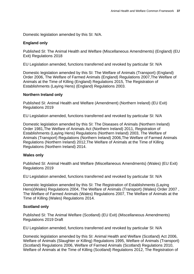Domestic legislation amended by this SI: N/A.

#### **England only**

Published SI: The Animal Health and Welfare (Miscellaneous Amendments) (England) (EU Exit) Regulations 2018

EU Legislation amended, functions transferred and revoked by particular SI: N/A

Domestic legislation amended by this SI: The Welfare of Animals (Transport) (England) Order 2006, The Welfare of Farmed Animals (England) Regulations 2007,The Welfare of Animals at the Time of Killing (England) Regulations 2015, The Registration of Establishments (Laying Hens) (England) Regulations 2003.

#### **Northern Ireland only**

Published SI: Animal Health and Welfare (Amendment) (Northern Ireland) (EU Exit) Regulations 2019

EU Legislation amended, functions transferred and revoked by particular SI: N/A

Domestic legislation amended by this SI: The Diseases of Animals (Northern Ireland) Order 1981,The Welfare of Animals Act (Northern Ireland) 2011, Registration of Establishments (Laying Hens) Regulations (Northern Ireland) 2003, The Welfare of Animals (Transport) Regulations (Northern Ireland) 2006,The Welfare of Farmed Animals Regulations (Northern Ireland) 2012,The Welfare of Animals at the Time of Killing Regulations (Northern Ireland) 2014.

## **Wales only**

Published SI: Animal Health and Welfare (Miscellaneous Amendments) (Wales) (EU Exit) Regulations 2019

EU Legislation amended, functions transferred and revoked by particular SI: N/A

Domestic legislation amended by this SI: The Registration of Establishments (Laying Hens)(Wales) Regulations 2004, The Welfare of Animals (Transport) (Wales) Order 2007 , The Welfare of Farmed Animals (Wales) Regulations 2007, The Welfare of Animals at the Time of Killing (Wales) Regulations 2014.

## **Scotland only**

Published SI: The Animal Welfare (Scotland) (EU Exit) (Miscellaneous Amendments) Regulations 2019 Draft

EU Legislation amended, functions transferred and revoked by particular SI: N/A

Domestic legislation amended by this SI: Animal Health and Welfare (Scotland) Act 2006, Welfare of Animals (Slaughter or Killing) Regulations 1995, Welfare of Animals (Transport) (Scotland) Regulations 2006, Welfare of Farmed Animals (Scotland) Regulations 2010, Welfare of Animals at the Time of Killing (Scotland) Regulations 2012, The Registration of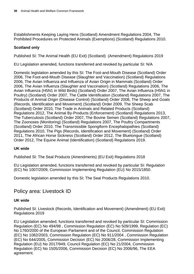Establishments Keeping Laying Hens (Scotland) Amendment Regulations 2004, The Prohibited Procedures on Protected Animals (Exemptions) (Scotland) Regulations 2010.

## **Scotland only**

Published SI: The Animal Health (EU Exit) (Scotland) (Amendment) Regulations 2019

EU Legislation amended, functions transferred and revoked by particular SI: N/A

Domestic legislation amended by this SI: The Foot-and-Mouth Disease (Scotland) Order 2006, The Foot-and-Mouth Disease (Slaughter and Vaccination) (Scotland) Regulations 2006, The Avian Influenza and Influenza of Avian Origin in Mammals (Scotland) Order 2006, The Avian Influenza (Slaughter and Vaccination) (Scotland) Regulations 2006, The Avian Influenza (H5N1 in Wild Birds) (Scotland) Order 2007, The Avian Influenza (H5N1 in Poultry) (Scotland) Order 2007, The Cattle Identification (Scotland) Regulations 2007, The Products of Animal Origin (Disease Control) (Scotland) Order 2008, The Sheep and Goats (Records, Identification and Movement) (Scotland) Order 2009, The Sheep Scab (Scotland) Order 2010, The Trade in Animals and Related Products (Scotland) Regulations 2012, The Animal By-Products (Enforcement) (Scotland) Regulations 2013, The Tuberculosis (Scotland) Order 2007, The Bovine Semen (Scotland) Regulations 2007, The Zoonoses (Monitoring) (Scotland) Regulations 2007, The Poultry Compartments (Scotland) Order 2010, The Transmissible Spongiform Encephalopathies (Scotland) Regulations 2010, The Pigs (Records, Identification and Movement) (Scotland) Order 2011, The African Horse Sickness (Scotland) Order 2012, The Bluetongue (Scotland) Order 2012, The Equine Animal (Identification) (Scotland) Regulations 2019.

## **UK wide**

Published SI: The Seal Products (Amendments) (EU Exit) Regulations 2018

EU Legislation amended, functions transferred and revoked by particular SI: Regulation (EC) No 1007/2009, Commission Implementing Regulation (EU) No 2015/1850.

Domestic legislation amended by this SI: The Seal Products Regulations 2010.

## Policy area: Livestock ID

## **UK wide**

Published SI: Livestock (Records, Identification and Movement) (Amendment) (EU Exit) Regulations 2019

EU Legislation amended, functions transferred and revoked by particular SI: Commission Regulation (EC) No 494/98 , Commission Regulation (EC) No 509/1999, Regulation (EC) No 1760/2000 of the European Parliament and of the Council, Commission Regulation (EC) No 1082/2003, Commission Regulation (EC) No 911/2004 , Commission Regulation (EC) No 644/2005, Commission Decision (EC) No 2006/28, Commission Implementing Regulation (EU) No 2017/949, Council Regulation (EC) No 21/2004, Commission Regulation (EC) No 1505/2006, Commission Decision (EC) No 2006/96, The EEA agreement.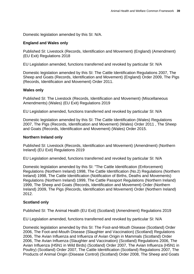Domestic legislation amended by this SI: N/A.

#### **England and Wales only**

Published SI: Livestock (Records, Identification and Movement) (England) (Amendment) (EU Exit) Regulations 2018

EU Legislation amended, functions transferred and revoked by particular SI: N/A

Domestic legislation amended by this SI: The Cattle Identification Regulations 2007, The Sheep and Goats (Records, Identification and Movement) (England) Order 2009, The Pigs (Records, Identification and Movement) Order 2011.

#### **Wales only**

Published SI: The Livestock (Records, Identification and Movement) (Miscellaneous Amendments) (Wales) (EU Exit) Regulations 2019

EU Legislation amended, functions transferred and revoked by particular SI: N/A

Domestic legislation amended by this SI: The Cattle Identification (Wales) Regulations 2007, The Pigs (Records, Identification and Movement) (Wales) Order 2011 , The Sheep and Goats (Records, Identification and Movement) (Wales) Order 2015.

#### **Northern Ireland only**

Published SI: Livestock (Records, Identification and Movement) (Amendment) (Northern Ireland) (EU Exit) Regulations 2019

EU Legislation amended, functions transferred and revoked by particular SI: N/A

Domestic legislation amended by this SI: "The Cattle Identification (Enforcement) Regulations (Northern Ireland) 1998, The Cattle Identification (No.2) Regulations (Northern Ireland) 1998, The Cattle Identification (Notification of Births, Deaths and Movements) Regulations (Northern Ireland) 1999, The Cattle Passport Regulations (Northern Ireland) 1999, The Sheep and Goats (Records, Identification and Movement) Order (Northern Ireland) 2009, The Pigs (Records, Identification and Movement) Order (Northern Ireland) 2012.

#### **Scotland only**

Published SI: The Animal Health (EU Exit) (Scotland) (Amendment) Regulations 2019

EU Legislation amended, functions transferred and revoked by particular SI: N/A

Domestic legislation amended by this SI: The Foot-and-Mouth Disease (Scotland) Order 2006, The Foot-and-Mouth Disease (Slaughter and Vaccination) (Scotland) Regulations 2006, The Avian Influenza and Influenza of Avian Origin in Mammals (Scotland) Order 2006, The Avian Influenza (Slaughter and Vaccination) (Scotland) Regulations 2006, The Avian Influenza (H5N1 in Wild Birds) (Scotland) Order 2007, The Avian Influenza (H5N1 in Poultry) (Scotland) Order 2007, The Cattle Identification (Scotland) Regulations 2007, The Products of Animal Origin (Disease Control) (Scotland) Order 2008, The Sheep and Goats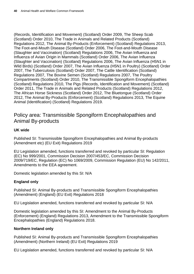(Records, Identification and Movement) (Scotland) Order 2009, The Sheep Scab (Scotland) Order 2010, The Trade in Animals and Related Products (Scotland) Regulations 2012, The Animal By-Products (Enforcement) (Scotland) Regulations 2013, The Foot-and-Mouth Disease (Scotland) Order 2006, The Foot-and-Mouth Disease (Slaughter and Vaccination) (Scotland) Regulations 2006, The Avian Influenza and Influenza of Avian Origin in Mammals (Scotland) Order 2006, The Avian Influenza (Slaughter and Vaccination) (Scotland) Regulations 2006, The Avian Influenza (H5N1 in Wild Birds) (Scotland) Order 2007, The Avian Influenza (H5N1 in Poultry) (Scotland) Order 2007, The Tuberculosis (Scotland) Order 2007, The Cattle Identification (Scotland) Regulations 2007, The Bovine Semen (Scotland) Regulations 2007, The Poultry Compartments (Scotland) Order 2010, The Transmissible Spongiform Encephalopathies (Scotland) Regulations 2010, The Pigs (Records, Identification and Movement) (Scotland) Order 2011, The Trade in Animals and Related Products (Scotland) Regulations 2012, The African Horse Sickness (Scotland) Order 2012, The Bluetongue (Scotland) Order 2012, The Animal By-Products (Enforcement) (Scotland) Regulations 2013, The Equine Animal (Identification) (Scotland) Regulations 2019.

## Policy area: Transmissible Spongiform Encephalopathies and Animal By-products

#### **UK wide**

Published SI: Transmissible Spongiform Encephalopathies and Animal By-products (Amendment etc) (EU Exit) Regulations 2019

EU Legislation amended, functions transferred and revoked by particular SI: Regulation (EC) No 999/2001, Commission Decision 2007/453/EC, Commission Decision 2009/719/EC, Regulation (EC) No 1069/2009, Commission Regulation (EU) No 142/2011, Amendments to the EEA agreement.

Domestic legislation amended by this SI: N/A

## **England only**

Published SI: Animal By-products and Transmissible Spongiform Encephalopathies (Amendment) (England) (EU Exit) Regulations 2018

EU Legislation amended, functions transferred and revoked by particular SI: N/A

Domestic legislation amended by this SI: Amendment to the Animal By-Products (Enforcement) (England) Regulations 2013, Amendment to the Transmissible Spongiform Encephalopathies (England) Regulations 2018.

## **Northern Ireland only**

Published SI: Animal By-products and Transmissible Spongiform Encephalopathies (Amendment) (Northern Ireland) (EU Exit) Regulations 2019

EU Legislation amended, functions transferred and revoked by particular SI: N/A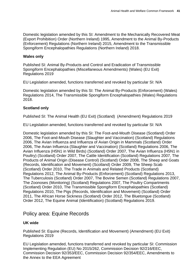Domestic legislation amended by this SI: Amendment to the Mechanically Recovered Meat (Export Prohibition) Order (Northern Ireland) 1995, Amendment to the Animal By-Products (Enforcement) Regulations (Northern Ireland) 2015, Amendment to the Transmissible Spongiform Encephalopathies Regulations (Northern Ireland) 2018.

#### **Wales only**

Published SI: Animal By-Products and Control and Eradication of Transmissible Spongiform Encephalopathies (Miscellaneous Amendments) (Wales) (EU Exit) Regulations 2019

EU Legislation amended, functions transferred and revoked by particular SI: N/A

Domestic legislation amended by this SI: The Animal By-Products (Enforcement) (Wales) Regulations 2014, The Transmissible Spongiform Encephalopathies (Wales) Regulations 2018.

## **Scotland only**

Published SI: The Animal Health (EU Exit) (Scotland) (Amendment) Regulations 2019

EU Legislation amended, functions transferred and revoked by particular SI: N/A

Domestic legislation amended by this SI: The Foot-and-Mouth Disease (Scotland) Order 2006, The Foot-and-Mouth Disease (Slaughter and Vaccination) (Scotland) Regulations 2006, The Avian Influenza and Influenza of Avian Origin in Mammals (Scotland) Order 2006, The Avian Influenza (Slaughter and Vaccination) (Scotland) Regulations 2006, The Avian Influenza (H5N1 in Wild Birds) (Scotland) Order 2007, The Avian Influenza (H5N1 in Poultry) (Scotland) Order 2007, The Cattle Identification (Scotland) Regulations 2007, The Products of Animal Origin (Disease Control) (Scotland) Order 2008, The Sheep and Goats (Records, Identification and Movement) (Scotland) Order 2009, The Sheep Scab (Scotland) Order 2010, The Trade in Animals and Related Products (Scotland) Regulations 2012, The Animal By-Products (Enforcement) (Scotland) Regulations 2013, The Tuberculosis (Scotland) Order 2007, The Bovine Semen (Scotland) Regulations 2007, The Zoonoses (Monitoring) (Scotland) Regulations 2007, The Poultry Compartments (Scotland) Order 2010, The Transmissible Spongiform Encephalopathies (Scotland) Regulations 2010, The Pigs (Records, Identification and Movement) (Scotland) Order 2011, The African Horse Sickness (Scotland) Order 2012, The Bluetongue (Scotland) Order 2012, The Equine Animal (Identification) (Scotland) Regulations 2019.

## Policy area: Equine Records

## **UK wide**

Published SI: Equine (Records, Identification and Movement) (Amendment) (EU Exit) Regulations 2019

EU Legislation amended, functions transferred and revoked by particular SI: Commission Implementing Regulation (EU) No 2015/262, Commission Decision 92/216/EEC, Commission Decision 92/353/EEC, Commission Decision 92/354/EEC, Amendments to the Annex to the EEA Agreement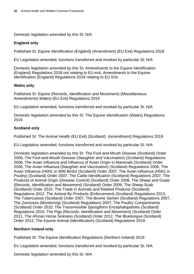Domestic legislation amended by this SI: N/A

## **England only**

Published SI: Equine Identification (England) (Amendment) (EU Exit) Regulations 2018

EU Legislation amended, functions transferred and revoked by particular SI: N/A

Domestic legislation amended by this SI: Amendments to the Equine Identification (England) Regulations 2018 not relating to EU exit, Amendments to the Equine Identification (England) Regulations 2018 relating to EU Exit.

## **Wales only**

Published SI: Equine (Records, Identification and Movement) (Miscellaneous Amendments) Wales) (EU Exit) Regulations 2019

EU Legislation amended, functions transferred and revoked by particular SI: N/A

Domestic legislation amended by this SI: The Equine Identification (Wales) Regulations 2019

## **Scotland only**

Published SI: The Animal Health (EU Exit) (Scotland) (Amendment) Regulations 2019

EU Legislation amended, functions transferred and revoked by particular SI: N/A

Domestic legislation amended by this SI: The Foot-and-Mouth Disease (Scotland) Order 2006, The Foot-and-Mouth Disease (Slaughter and Vaccination) (Scotland) Regulations 2006, The Avian Influenza and Influenza of Avian Origin in Mammals (Scotland) Order 2006, The Avian Influenza (Slaughter and Vaccination) (Scotland) Regulations 2006, The Avian Influenza (H5N1 in Wild Birds) (Scotland) Order 2007, The Avian Influenza (H5N1 in Poultry) (Scotland) Order 2007, The Cattle Identification (Scotland) Regulations 2007, The Products of Animal Origin (Disease Control) (Scotland) Order 2008, The Sheep and Goats (Records, Identification and Movement) (Scotland) Order 2009, The Sheep Scab (Scotland) Order 2010, The Trade in Animals and Related Products (Scotland) Regulations 2012, The Animal By-Products (Enforcement) (Scotland) Regulations 2013, The Tuberculosis (Scotland) Order 2007, The Bovine Semen (Scotland) Regulations 2007, The Zoonoses (Monitoring) (Scotland) Regulations 2007, The Poultry Compartments (Scotland) Order 2010, The Transmissible Spongiform Encephalopathies (Scotland) Regulations 2010, The Pigs (Records, Identification and Movement) (Scotland) Order 2011, The African Horse Sickness (Scotland) Order 2012, The Bluetongue (Scotland) Order 2012, The Equine Animal (Identification) (Scotland) Regulations 2019.

## **Northern Ireland only**

Published SI: The Equine Identification Regulations (Northern Ireland) 2019

EU Legislation amended, functions transferred and revoked by particular SI: N/A

Domestic legislation amended by this SI: N/A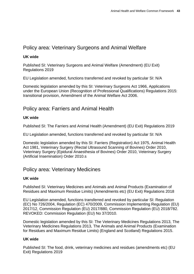## Policy area: Veterinary Surgeons and Animal Welfare

## **UK wide**

Published SI: Veterinary Surgeons and Animal Welfare (Amendment) (EU Exit) Regulations 2019

EU Legislation amended, functions transferred and revoked by particular SI: N/A

Domestic legislation amended by this SI: Veterinary Surgeons Act 1966, Applications under the European Union (Recognition of Professional Qualifications) Regulations 2015: transitional provision, Amendment of the Animal Welfare Act 2006.

## Policy area: Farriers and Animal Health

## **UK wide**

Published SI: The Farriers and Animal Health (Amendment) (EU Exit) Regulations 2019

EU Legislation amended, functions transferred and revoked by particular SI: N/A

Domestic legislation amended by this SI: Farriers (Registration) Act 1975, Animal Health Act 1981, Veterinary Surgery (Rectal Ultrasound Scanning of Bovines) Order 2010, Veterinary Surgery (Epidural Anaesthesia of Bovines) Order 2010, Veterinary Surgery (Artificial Insemination) Order 2010.s

## Policy area: Veterinary Medicines

## **UK wide**

Published SI: Veterinary Medicines and Animals and Animal Products (Examination of Residues and Maximum Residue Limits) (Amendments etc) (EU Exit) Regulations 2018

EU Legislation amended, functions transferred and revoked by particular SI: Regulation (EC) No 726/2004, Regulation (EC) 470/2009, Commission Implementing Regulation (EU) 2017/12, Commission Regulation (EU) 2017/880, Commission Regulation (EU) 2018/782. REVOKED: Commission Regulation (EU) No 37/2010.

Domestic legislation amended by this SI: The Veterinary Medicines Regulations 2013, The Veterinary Medicines Regulations 2013, The Animals and Animal Products (Examination for Residues and Maximum Residue Limits) (England and Scotland) Regulations 2015.

## **UK wide**

Published SI: The food, drink, veterinary medicines and residues (amendments etc) (EU Exit) Regulations 2019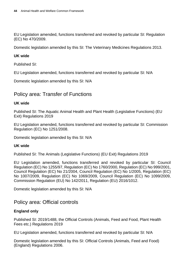EU Legislation amended, functions transferred and revoked by particular SI: Regulation (EC) No 470/2009.

Domestic legislation amended by this SI: The Veterinary Medicines Regulations 2013.

## **UK wide**

Published SI:

EU Legislation amended, functions transferred and revoked by particular SI: N/A

Domestic legislation amended by this SI: N/A

## Policy area: Transfer of Functions

#### **UK wide**

Published SI: The Aquatic Animal Health and Plant Health (Legislative Functions) (EU Exit) Regulations 2019

EU Legislation amended, functions transferred and revoked by particular SI: Commission Regulation (EC) No 1251/2008.

Domestic legislation amended by this SI: N/A

#### **UK wide**

Published SI: The Animals (Legislative Functions) (EU Exit) Regulations 2019

EU Legislation amended, functions transferred and revoked by particular SI: Council Regulation (EC) No 1255/97, Regulation (EC) No 1760/2000, Regulation (EC) No 999/2001, Council Regulation (EC) No 21/2004, Council Regulation (EC) No 1/2005, Regulation (EC) No 1007/2009, Regulation (EC) No 1069/2009, Council Regulation (EC) No 1099/2009, Commission Regulation (EU) No 142/2011, Regulation (EU) 2016/1012.

Domestic legislation amended by this SI: N/A

## Policy area: Official controls

## **England only**

Published SI: 2019/1488, the Official Controls (Animals, Feed and Food, Plant Health Fees etc.) Regulations 2019

EU Legislation amended, functions transferred and revoked by particular SI: N/A

Domestic legislation amended by this SI: Official Controls (Animals, Feed and Food) (England) Regulations 2006.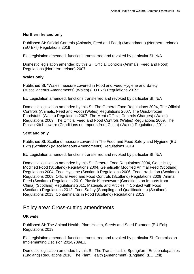#### **Northern Ireland only**

Published SI: Official Controls (Animals, Feed and Food) (Amendment) (Northern Ireland) (EU Exit) Regulations 2019

EU Legislation amended, functions transferred and revoked by particular SI: N/A

Domestic legislation amended by this SI: Official Controls (Animals, Feed and Food) Regulations (Northern Ireland) 2007

#### **Wales only**

Published SI: "Wales measure covered in Food and Feed Hygiene and Safety (Miscellaneous Amendments) (Wales) (EU Exit) Regulations 2019"

EU Legislation amended, functions transferred and revoked by particular SI: N/A

Domestic legislation amended by this SI: The General Food Regulations 2004, The Official Controls (Animals, Feed and Food) (Wales) Regulations 2007, The Quick-frozen Foodstuffs (Wales) Regulations 2007, The Meat (Official Controls Charges) (Wales) Regulations 2009, The Official Feed and Food Controls (Wales) Regulations 2009, The Plastic Kitchenware (Conditions on Imports from China) (Wales) Regulations 2011.

#### **Scotland only**

Published SI: Scotland measure covered in The Food and Feed Safety and Hygiene (EU Exit) (Scotland) (Miscellaneous Amendments) Regulations 2019

EU Legislation amended, functions transferred and revoked by particular SI: N/A

Domestic legislation amended by this SI: General Food Regulations 2004, Genetically Modified Food (Scotland) Regulations 2004, Genetically Modified Animal Feed (Scotland) Regulations 2004, Food Hygiene (Scotland) Regulations 2006, Food Irradiation (Scotland) Regulations 2009, Official Feed and Food Controls (Scotland) Regulations 2009, Animal Feed (Scotland) Regulations 2010, Plastic Kitchenware (Conditions on Imports from China) (Scotland) Regulations 2011, Materials and Articles in Contact with Food (Scotland) Regulations 2012, Food Safety (Sampling and Qualifications) (Scotland) Regulations 2013, Contaminants in Food (Scotland) Regulations 2013.

## Policy area: Cross-cutting amendments

#### **UK wide**

Published SI: The Animal Health, Plant Health, Seeds and Seed Potatoes (EU Exit) Regulations 2019

EU Legislation amended, functions transferred and revoked by particular SI: Commission Implementing Decision 2014/709/EU.

Domestic legislation amended by this SI: The Transmissible Spongiform Encephalopathies (England) Regulations 2018, The Plant Health (Amendment) (England) (EU Exit)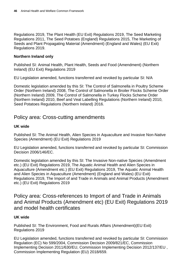Regulations 2019, The Plant Health (EU Exit) Regulations 2019, The Seed Marketing Regulations 2011, The Seed Potatoes (England) Regulations 2015, The Marketing of Seeds and Plant Propagating Material (Amendment) (England and Wales) (EU Exit) Regulations 2019.

#### **Northern Ireland only**

Published SI: Animal Health, Plant Health, Seeds and Food (Amendment) (Northern Ireland) (EU Exit) Regulations 2019

EU Legislation amended, functions transferred and revoked by particular SI: N/A

Domestic legislation amended by this SI: The Control of Salmonella in Poultry Scheme Order (Northern Ireland) 2008, The Control of Salmonella in Broiler Flocks Scheme Order (Northern Ireland) 2009, The Control of Salmonella in Turkey Flocks Scheme Order (Northern Ireland) 2010, Beef and Veal Labelling Regulations (Northern Ireland) 2010, Seed Potatoes Regulations (Northern Ireland) 2016.

## Policy area: Cross-cutting amendments

#### **UK wide**

Published SI: The Animal Health, Alien Species in Aquaculture and Invasive Non-Native Species (Amendment) (EU Exit) Regulations 2019

EU Legislation amended, functions transferred and revoked by particular SI: Commission Decision 2006/146/EC.

Domestic legislation amended by this SI: The Invasive Non-native Species (Amendment etc.) (EU Exit) Regulations 2019, The Aquatic Animal Health and Alien Species in Aquaculture (Amendment etc.) (EU Exit) Regulations 2019, The Aquatic Animal Health and Alien Species in Aquaculture (Amendment) (England and Wales) (EU Exit) Regulations 2019, The Import of and Trade in Animals and Animal Products (Amendment etc.) (EU Exit) Regulations 2019

Policy area: Cross-references to Import of and Trade in Animals and Animal Products (Amendment etc) (EU Exit) Regulations 2019 and model health certificates

#### **UK wide**

Published SI: The Environment, Food and Rurals Affairs (Amendment)(EU Exit) Regulations 2019

EU Legislation amended, functions transferred and revoked by particular SI: Commission Regulation (EC) No 599/2004, Commission Decision 2009/821/EC, Commission Implementing Decision 2011/630/EU, Commission Implementing Decision 2012/137/EU , Commission Implementing Regulation (EU) 2018/659.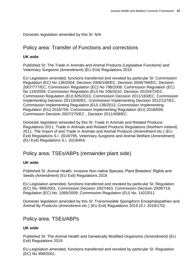Domestic legislation amended by this SI: N/A

## Policy area: Transfer of Functions and corrections

## **UK wide**

Published SI: The Trade in Animals and Animal Products (Legislative Functions) and Veterinary Surgeons (Amendment) (EU Exit) Regulations 2019

EU Legislation amended, functions transferred and revoked by particular SI: Commission Regulation (EC) No 136/2004, Decision 2006/168/EC, Decision 2006/766/EC, Decision 2007/777/EC, Commission Regulation (EC) No 798/2008, Commission Regulation (EC) No 119/2009, Commission Regulation (EU) No 206/2010, Decision 2010/472/EC, Commission Regulation (EU) 605/2010, Commission Decision 2011/163/EC, Commission Implementing Decision 2011/630/EC, Commission Implementing Decision 2012/137/EC, Commission Implementing Regulation (EU) 139/2013, Commission Implementing Regulation (EU) 2016/759, Commission Implementing Regulation (EU) 2018/659, Commission Decision 2007/275/EC , Decision 2011/408/EC.

Domestic legislation amended by this SI: Trade in Animals and Related Products Regulations 2011, Trade in Animals and Related Products Regulations (Northern Ireland) 2011, The Import of and Trade in Animals and Animal Products (Amendment etc.) (EU Exit) Regulations S.I. 2019/795, Veterinary Surgeons and Animal Welfare (Amendment) (EU Exit) Regulations S.I. 2019/454.

## Policy area: TSEs/ABPs (remainder plant side)

## **UK wide**

Published SI: Animal Health, Invasive Non-native Species, Plant Breeders' Rights and Seeds (Amendment) (EU Exit) Regulations 2019

EU Legislation amended, functions transferred and revoked by particular SI: Regulation (EC) No. 999/2001, Commission Decision 2007/453, Commission Decision 2009/719, Regulation (EC) No. 1069/2009, Commission Regulation (EU) No. 142/2011

Domestic legislation amended by this SI: Transmissible Spongiform Encephalopathies and Animal By-Products (Amendment etc.) (EU Exit) Regulations 2019 (S.I. 2019/170).

## Policy area: TSEs/ABPs

## **UK wide**

Published SI: The Animal Health and Genetically Modified Organisms (Amendment) (EU Exit) Regulations 2019

EU Legislation amended, functions transferred and revoked by particular SI: Regulation (EC) No 999/2001.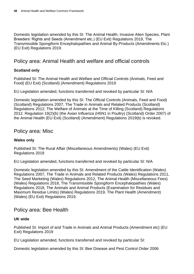Domestic legislation amended by this SI: The Animal Health, Invasive Alien Species, Plant Breeders' Rights and Seeds (Amendment etc.) (EU Exit) Regulations 2019, The Transmissible Spongiform Encephalopathies and Animal By-Products (Amendments Etc.) (EU Exit) Regulations 2019.

## Policy area: Animal Health and welfare and official controls

## **Scotland only**

Published SI: The Animal Health and Welfare and Official Controls (Animals, Feed and Food) (EU Exit) (Scotland) (Amendment) Regulations 2019

EU Legislation amended, functions transferred and revoked by particular SI: N/A

Domestic legislation amended by this SI: The Official Controls (Animals, Feed and Food) (Scotland) Regulations 2007, The Trade in Animals and Related Products (Scotland) Regulations 2012; The Welfare of Animals at the Time of Killing (Scotland) Regulations 2012. Regulation 19(2)(b) (the Avian Influenza (H5N1 in Poultry) (Scotland) Order 2007) of the Animal Health (EU Exit) (Scotland) (Amendment) Regulations 2019(b) is revoked.

## Policy area: Misc

## **Wales only**

Published SI: The Rural Affair (Miscellaneous Amendments) (Wales) (EU Exit) Regulations 2019

EU Legislation amended, functions transferred and revoked by particular SI: N/A

Domestic legislation amended by this SI: Amendment of the Cattle Identification (Wales) Regulations 2007, The Trade in Animals and Related Products (Wales) Regulations 2011, The Seed Marketing (Wales) Regulations 2012, The Animal Health (Miscellaneous Fees) (Wales) Regulations 2018, The Transmissible Spongiform Encephalopathies (Wales) Regulations 2018, The Animals and Animal Products (Examination for Residues and Maximum Residue Limits) (Wales) Regulations 2019, The Plant Health (Amendment) (Wales) (EU Exit) Regulations 2019.

## Policy area: Bee Health

## **UK wide**

Published SI: Import of and Trade in Animals and Animal Products (Amendment etc) (EU Exit) Regulations 2019

EU Legislation amended, functions transferred and revoked by particular SI:

Domestic legislation amended by this SI: Bee Disease and Pest Control Order 2006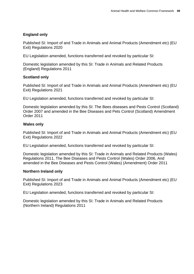## **England only**

Published SI: Import of and Trade in Animals and Animal Products (Amendment etc) (EU Exit) Regulations 2020

EU Legislation amended, functions transferred and revoked by particular SI:

Domestic legislation amended by this SI: Trade in Animals and Related Products (England) Regulations 2011

#### **Scotland only**

Published SI: Import of and Trade in Animals and Animal Products (Amendment etc) (EU Exit) Regulations 2021

EU Legislation amended, functions transferred and revoked by particular SI:

Domestic legislation amended by this SI: The Bees diseases and Pests Control (Scotland) Order 2007 and amended in the Bee Diseases and Pets Control (Scotland) Amendment Order 2011

#### **Wales only**

Published SI: Import of and Trade in Animals and Animal Products (Amendment etc) (EU Exit) Regulations 2022

EU Legislation amended, functions transferred and revoked by particular SI:

Domestic legislation amended by this SI: Trade in Animals and Related Products (Wales) Regulations 2011, The Bee Diseases and Pests Control (Wales) Order 2006, And amended in the Bee Diseases and Pests Control (Wales) (Amendment) Order 2011

## **Northern Ireland only**

Published SI: Import of and Trade in Animals and Animal Products (Amendment etc) (EU Exit) Regulations 2023

EU Legislation amended, functions transferred and revoked by particular SI:

Domestic legislation amended by this SI: Trade in Animals and Related Products (Northern Ireland) Regulations 2011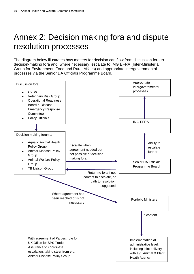# Annex 2: Decision making fora and dispute resolution processes

The diagram below illustrates how matters for decision can flow from discussion fora to decision-making fora and, where necessary, escalate to IMG EFRA (Inter-Ministerial Group for Environment, Food and Rural Affairs) and appropriate intergovernmental processes via the Senior DA Officials Programme Board.

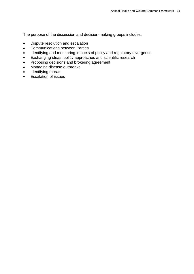The purpose of the discussion and decision-making groups includes:

- Dispute resolution and escalation
- Communications between Parties
- Identifying and monitoring impacts of policy and regulatory divergence
- Exchanging ideas, policy approaches and scientific research
- Proposing decisions and brokering agreement
- Managing disease outbreaks
- Identifying threats
- Escalation of issues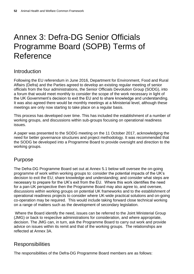# Annex 3: Defra-DG Senior Officials Programme Board (SOPB) Terms of Reference

## Introduction

Following the EU referendum in June 2016, Department for Environment, Food and Rural Affairs (Defra) and the Parties agreed to develop an existing regular meeting of senior officials from the four administrations, the Senior Officials Devolution Group (SODG), into a forum that would meet monthly to consider the scope of the work necessary in light of the UK Government's decision to exit the EU and to share knowledge and understanding. It was also agreed there would be monthly meetings at a Ministerial level, although these meetings are only now starting to take place on a regular basis.

This process has developed over time. This has included the establishment of a number of working groups, and discussions within sub-groups focusing on operational readiness issues.

A paper was presented to the SODG meeting on the 11 October 2017, acknowledging the need for better governance structures and project methodology. It was recommended that the SODG be developed into a Programme Board to provide oversight and direction to the working groups.

## Purpose

The Defra-DG Programme Board set out at Annex 5.1 below will oversee the on-going programme of work within working groups to: consider the potential impacts of the UK's decision to exit the EU; share knowledge and understanding; and consider what steps are necessary to prepare for the UK's exit from the EU. Where this work identifies the need for a pan-UK perspective then the Programme Board may also agree to, and oversee, discussions within working groups on potential UK frameworks and to the establishment of operational readiness projects to consider where UK-wide practical solutions and on-going co-operation may be required. This would include taking forward close technical working on a range of matters such as the development of secondary legislation.

Where the Board identify the need, issues can be referred to the Joint Ministerial Group (JMG) or back to respective administrations for consideration, and where appropriate, decision. The JMG can, in turn, ask the Programme Board to carry out work and provide advice on issues within its remit and that of the working groups. The relationships are reflected at Annex 3A.

## **Responsibilities**

The responsibilities of the Defra-DG Programme Board members are as follows: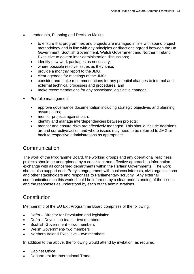- Leadership, Planning and Decision Making
	- to ensure that programmes and projects are managed in line with sound project methodology and in line with any principles or directions agreed between the UK Government, Scottish Government, Welsh Government and Northern Ireland Executive to govern inter-administration discussions;
	- identify new work packages as necessary;
	- where possible resolve issues as they arise;
	- provide a monthly report to the JMG;
	- clear agendas for meetings of the JMG;
	- consider and make recommendations for any potential changes to internal and external technical processes and procedures; and
	- make recommendations for any associated legislative changes.
- Portfolio management
	- approve governance documentation including strategic objectives and planning assumptions;
	- monitor projects against plan:
	- identify and manage interdependencies between projects;
	- monitor and ensure risks are effectively managed. This should include decisions around corrective action and where issues may need to be referred to JMG or back to respective administrations as appropriate.

## **Communication**

The work of the Programme Board, the working groups and any operational readiness projects should be underpinned by a consistent and effective approach to information exchange with all concerned departments within the Parties' Governments. The work should also support each Party's engagement with business interests, civic organisations and other stakeholders and responses to Parliamentary scrutiny. Any external communications on this work should be informed by a clear understanding of the issues and the responses as understood by each of the administrations.

## **Constitution**

Membership of the EU Exit Programme Board comprises of the following:

- Defra Director for Devolution and legislation
- Defra Devolution team two members
- Scottish Government two members
- Welsh Government- two members
- Northern Ireland Executive two members

In addition to the above, the following would attend by invitation, as required:

- Cabinet Office
- Department for International Trade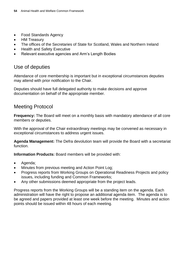- Food Standards Agency
- HM Treasury
- The offices of the Secretaries of State for Scotland, Wales and Northern Ireland
- Health and Safety Executive
- Relevant executive agencies and Arm's Length Bodies

## Use of deputies

Attendance of core membership is important but in exceptional circumstances deputies may attend with prior notification to the Chair.

Deputies should have full delegated authority to make decisions and approve documentation on behalf of the appropriate member.

## Meeting Protocol

**Frequency:** The Board will meet on a monthly basis with mandatory attendance of all core members or deputies.

With the approval of the Chair extraordinary meetings may be convened as necessary in exceptional circumstances to address urgent issues.

**Agenda Management:** The Defra devolution team will provide the Board with a secretariat function.

**Information Products:** Board members will be provided with:

- Agenda;
- Minutes from previous meeting and Action Point Log:
- Progress reports from Working Groups on Operational Readiness Projects and policy issues, including funding and Common Frameworks;
- Any other submissions deemed appropriate from the project leads.

Progress reports from the Working Groups will be a standing item on the agenda. Each administration will have the right to propose an additional agenda item. The agenda is to be agreed and papers provided at least one week before the meeting. Minutes and action points should be issued within 48 hours of each meeting.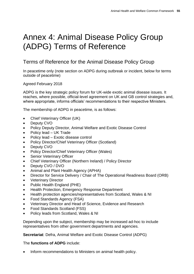# Annex 4: Animal Disease Policy Group (ADPG) Terms of Reference

## Terms of Reference for the Animal Disease Policy Group

In peacetime only (note section on ADPG during outbreak or incident, below for terms outside of peacetime)

Agreed February 2018

ADPG is the key strategic policy forum for UK-wide exotic animal disease issues. It reaches, where possible, official-level agreement on UK and GB control strategies and, where appropriate, informs officials' recommendations to their respective Ministers.

The membership of ADPG in peacetime, is as follows:

- Chief Veterinary Officer (UK)
- Deputy CVO
- Policy Deputy Director, Animal Welfare and Exotic Disease Control
- Policy lead UK Trade
- Policy lead Exotic disease control
- Policy Director/Chief Veterinary Officer (Scotland)
- Deputy CVO
- Policy Director/Chief Veterinary Officer (Wales)
- Senior Veterinary Officer
- Chief Veterinary Officer (Northern Ireland) / Policy Director
- Deputy CVO / DVO
- Animal and Plant Health Agency (APHA)
- Director for Service Delivery / Chair of The Operational Readiness Board (ORB)
- Veterinary Director
- Public Health England (PHE)
- Health Protection, Emergency Response Department
- Health protection agencies/representatives from Scotland, Wales & NI
- Food Standards Agency (FSA)
- Veterinary Director and Head of Science, Evidence and Research
- Food Standards Scotland (FSS)
- Policy leads from Scotland, Wales & NI

Depending upon the subject, membership may be increased ad-hoc to include representatives from other government departments and agencies.

**Secretariat**: Defra, Animal Welfare and Exotic Disease Control (ADPG)

The **functions of ADPG** include:

• Inform recommendations to Ministers on animal health policy.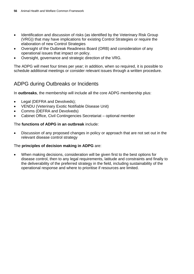- Identification and discussion of risks (as identified by the Veterinary Risk Group (VRG)) that may have implications for existing Control Strategies or require the elaboration of new Control Strategies
- Oversight of the Outbreak Readiness Board (ORB) and consideration of any operational issues that impact on policy.
- Oversight, governance and strategic direction of the VRG.

The ADPG will meet four times per year; in addition, when so required, it is possible to schedule additional meetings or consider relevant issues through a written procedure.

# ADPG during Outbreaks or Incidents

In **outbreaks**, the membership will include all the core ADPG membership plus:

- Legal (DEFRA and Devolveds);
- VENDU (Veterinary Exotic Notifiable Disease Unit)
- Comms (DEFRA and Devolveds)
- Cabinet Office, Civil Contingencies Secretariat optional member

#### The **functions of ADPG in an outbreak** include:

• Discussion of any proposed changes in policy or approach that are not set out in the relevant disease control strategy

## The **principles of decision making in ADPG** are:

• When making decisions, consideration will be given first to the best options for disease control, then to any legal requirements, latitude and constraints and finally to the deliverability of the preferred strategy in the field, including sustainability of the operational response and where to prioritise if resources are limited.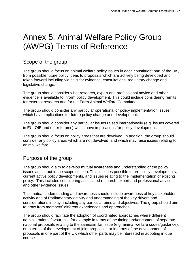# Annex 5: Animal Welfare Policy Group (AWPG) Terms of Reference

## Scope of the group

The group should focus on animal welfare policy issues in each constituent part of the UK, from possible future policy ideas to proposals which are actively being developed and taken forward including via calls for evidence, consultations, regulatory change and legislative change.

The group should consider what research, expert and professional advice and other evidence is available to inform policy development. This could include considering remits for external research and for the Farm Animal Welfare Committee.

The group should consider any particular operational or policy implementation issues which have implications for future policy change and development.

The group should consider any particular issues raised internationally (e.g. issues covered in EU, OIE and other forums) which have implications for policy development.

The group should focus on policy areas that are devolved. In addition, the group should consider any policy areas which are not devolved, and which may raise issues relating to animal welfare.

# Purpose of the group

The group should aim to develop mutual awareness and understanding of the policy issues as set out in the scope section. This includes possible future policy developments, current active policy developments, and issues relating to the implementation of existing policy. This includes considering associated research, expert and professional advice, and other evidence issues.

This mutual understanding and awareness should include awareness of key stakeholder activity and of Parliamentary activity and understanding of the key drivers and considerations in play, including any particular aims and objectives. The group should aim to draw from members' different experiences and approaches.

The group should facilitate the adoption of coordinated approaches where different administrations favour this, for example in terms of the timing and/or content of separate national proposals relating to the same/similar issue (e.g. animal welfare codes/guidance), or in terms of the development of joint proposals, or in terms of the development of proposals in one part of the UK which other parts may be interested in adopting in due course.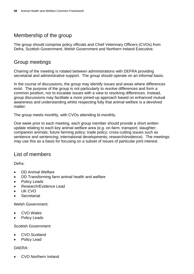## Membership of the group

The group should comprise policy officials and Chief Veterinary Officers (CVOs) from Defra, Scottish Government, Welsh Government and Northern Ireland Executive.

## Group meetings

Chairing of the meeting is rotated between administrations with DEFRA providing secretarial and administrative support. The group should operate on an informal basis.

In the course of discussions, the group may identify issues and areas where differences exist. The purpose of the group is not particularly to resolve differences and form a common position, nor to escalate issues with a view to resolving differences. Instead, group discussions may facilitate a more joined-up approach based on enhanced mutual awareness and understanding whilst respecting fully that animal welfare is a devolved matter.

The group meets monthly, with CVOs attending bi-monthly.

One week prior to each meeting, each group member should provide a short written update relating to each key animal welfare area (e.g. on-farm; transport; slaughter; companion animals; future farming policy; trade policy; cross-cutting issues such as sentience and sentencing; international developments; research/evidence). The meetings may use this as a basis for focusing on a subset of issues of particular joint interest.

## List of members

Defra:

- DD Animal Welfare
- DD Transforming farm animal health and welfare
- Policy Leads
- Research/Evidence Lead
- UK CVO
- **Secretariat**

Welsh Government:

- CVO Wales
- Policy Leads

Scottish Government:

- CVO Scotland
- Policy Lead

DAERA:

• CVO Northern Ireland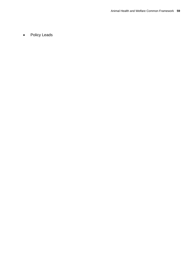• Policy Leads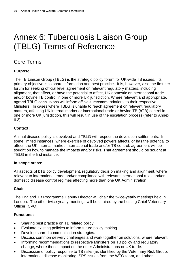# Annex 6: Tuberculosis Liaison Group (TBLG) Terms of Reference

# Core Terms

## **Purpose:**

The TB Liaison Group (TBLG) is the strategic policy forum for UK-wide TB issues. Its primary objective is to share information and best practice. It is, however, also the first-tier forum for seeking official level agreement on relevant regulatory matters, including alignment, that affect, or have the potential to affect, UK domestic or international trade and/or bovine TB control in one or more UK jurisdiction. Where relevant and appropriate, agreed TBLG conclusions will inform officials' recommendations to their respective Ministers. In cases where TBLG is unable to reach agreement on relevant regulatory matters, affecting UK internal market or international trade or bovine TB (bTB) control in one or more UK jurisdiction, this will result in use of the escalation process (refer to Annex 6.3).

## **Context:**

Animal disease policy is devolved and TBLG will respect the devolution settlements. In some limited instances, where exercise of devolved powers affects, or has the potential to affect, the UK internal market, international trade and/or TB control, agreement will be sought on how to manage the impacts and/or risks. That agreement should be sought at TBLG in the first instance.

## **In scope areas:**

All aspects of bTB policy development, regulatory decision making and alignment, where relevant to international trade and/or compliance with relevant international rules and/or domestic disease control regimes affecting more than one UK Administration.

## **Chair**

The England TB Programme Deputy Director will chair the twice-yearly meetings held in London. The other twice-yearly meetings will be chaired by the hosting Chief Veterinary Officer (CVO).

## **Functions:**

- Sharing best practice on TB related policy.
- Evaluate existing policies to inform future policy making.
- Develop shared communication strategies.
- Discuss common delivery challenges and work together on solutions, where relevant.
- Informing recommendations to respective Ministers on TB policy and regulatory change, where these impact on the other Administrations or UK trade.
- Discussion of policy response to TB risks (as identified by the Veterinary Risk Group, international disease monitoring, SPS issues from the WTO team, and other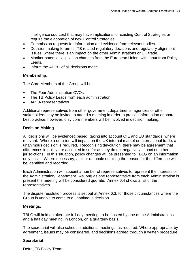intelligence sources) that may have implications for existing Control Strategies or require the elaboration of new Control Strategies.

- Commission requests for information and evidence from relevant bodies.
- Decision making forum for TB related regulatory decisions and regulatory alignment issues, where there is an impact on the other Administrations or UK trade.
- Monitor potential legislation changes from the European Union, with input from Policy Leads.
- Inform the ADPG of all decisions made.

#### **Membership:**

The Core Members of the Group will be:

- The Four Administration CVOs
- The TB Policy Leads from each administration
- APHA representatives

Additional representatives from other government departments, agencies or other stakeholders may be invited to attend a meeting in order to provide information or share best practice, however, only core members will be involved in decision making.

#### **Decision Making**

All decisions will be evidenced based, taking into account OIE and EU standards, where relevant. Where a decision will impact on the UK internal market or international trade, a unanimous decision is required. Recognising devolution, there may be agreement that differences in policy are accepted in so far as they do not negatively impact on other jurisdictions. In this situation, policy changes will be presented to TBLG on an information only basis. Where necessary, a clear rationale detailing the reason for the difference will be identified and recorded.

Each Administration will appoint a number of representatives to represent the interests of the Administration/Department. As long as one representative from each Administration is present the meeting will be considered quorate. Annex 6.4 shows a list of the representatives.

The dispute resolution process is set out at Annex 6.3, for those circumstances where the Group is unable to come to a unanimous decision.

#### **Meetings:**

TBLG will hold an alternate full day meeting, to be hosted by one of the Administrations and a half day meeting, in London, on a quarterly basis.

The secretariat will also schedule additional meetings, as required. Where appropriate, by agreement, issues may be considered, and decisions agreed through a written procedure.

#### **Secretariat:**

Defra, TB Policy Team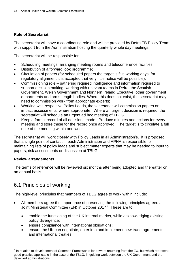## **Role of Secretariat**

The secretariat will have a coordinating role and will be provided by Defra TB Policy Team, with support from the Administration hosting the quarterly whole day meetings.

The secretariat will be responsible for:

- Scheduling meetings, arranging meeting rooms and teleconference facilities;
- Distribution of a forward look programme;
- Circulation of papers (for scheduled papers the target is five working days, for regulatory alignment it is accepted that very little notice will be possible);
- Commissioning role gathering required intelligence and information required to support decision making, working with relevant teams in Defra, the Scottish Government, Welsh Government and Northern Ireland Executive, other government departments and arms-length bodies. Where this does not exist, the secretariat may need to commission work from appropriate experts;
- Working with respective Policy Leads, the secretariat will commission papers or impact assessments, where appropriate. Where an urgent decision is required, the secretariat will schedule an urgent ad hoc meeting of TBLG.
- Keep a formal record of all decisions made. Produce minutes and actions for every meeting and store these for the record once approved. The target is to circulate a full note of the meeting within one week.

The secretariat will work closely with Policy Leads in all Administration's. It is proposed that a single point of contact in each Administration and APHA is responsible for maintaining lists of policy leads and subject matter experts that may be needed to input to papers, risk assessments or discussion at TBLG.

#### **Review arrangements**

The terms of reference will be reviewed six months after being adopted and thereafter on an annual basis.

## 6.1 Principles of working

The high-level principles that members of TBLG agree to work within include:

- All members agree the importance of preserving the following principles agreed at Joint Ministerial Committee (EN) in October 2017<sup>4</sup>. These are to:
	- enable the functioning of the UK internal market, while acknowledging existing policy divergence;
	- ensure compliance with international obligations;
	- ensure the UK can negotiate, enter into and implement new trade agreements and international treaties;

<sup>&</sup>lt;sup>4</sup> In relation to development of Common Frameworks for powers returning from the EU, but which represent good practice applicable in the case of the TBLG, in guiding work between the UK Government and the devolved administrations.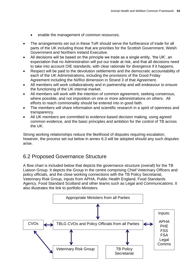- enable the management of common resources.
- The arrangements set out in these ToR should serve the furtherance of trade for all parts of the UK including those that are priorities for the Scottish Government, Welsh Government and Northern Ireland Executive.
- All decisions will be based on the principle we trade as a single entity, 'the UK', an expectation that no Administration will put our trade at risk, and that all decisions need to take into account OIE standards, with clear rationale for divergence if it happens.
- Respect will be paid to the devolution settlements and the democratic accountability of each of the UK Administrations, including the provisions of the Good Friday Agreement including the NI/RoI dimension in Strand 3 of that Agreement.
- All members will work collaboratively and in partnership and will endeavour to ensure the functioning of the UK internal market.
- All members will work with the intention of common agreement, seeking consensus, where possible, and not imposition on one or more administrations on others. All efforts to reach commonality should be entered into in good faith.
- The members will share information and scientific research in a spirit of openness and transparency.
- All UK members are committed to evidence-based decision making, using agreed common evidence, and the basic principles and ambition for the control of TB across the UK.

Strong working relationships reduce the likelihood of disputes requiring escalation, however, the process set out below in annex 6.3 will be adopted should any such disputes arise.

## 6.2 Proposed Governance Structure

A flow chart is included below that depicts the governance structure (overall) for the TB Liaison Group. It depicts the Group in the centre comprising Chief Veterinary Officers and policy officials, and the close working connections with the TB Policy Secretariat, Veterinary Risk Group, inputs from APHA, Public Health England, Food Standards Agency, Food Standard Scotland and other teams such as Legal and Communications. It also illustrates the link to portfolio Ministers.

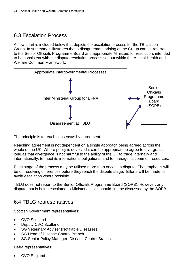# 6.3 Escalation Process

A flow chart is included below that depicts the escalation process for the TB Liaison Group. In summary it illustrates that a disagreement arising at the Group can be referred to the Senior Officials Programme Board and appropriate Ministers for resolution, intended to be consistent with the dispute resolution process set out within the Animal Health and Welfare Common Framework.



The principle is to reach consensus by agreement.

Reaching agreement is not dependent on a single approach being agreed across the whole of the UK. Where policy is devolved it can be appropriate to agree to diverge, as long as that divergence is not harmful to the ability of the UK to trade internally and internationally; to meet its international obligations; and to manage its common resources.

Each stage of the process may be utilised more than once in a dispute. The emphasis will be on resolving differences before they reach the dispute stage. Efforts will be made to avoid escalation where possible.

TBLG does not report to the Senior Officials Programme Board (SOPB). However, any dispute that is being escalated to Ministerial level should first be discussed by the SOPB.

## 6.4 TBLG representatives

Scottish Government representatives:

- CVO Scotland
- Deputy CVO Scotland
- SG Veterinary Adviser (Notifiable Diseases)
- SG Head of Disease Control Branch
- SG Senior Policy Manager, Disease Control Branch.

Defra representatives:

• CVO England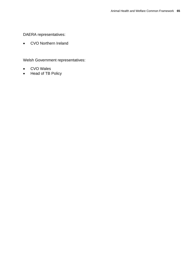DAERA representatives:

• CVO Northern Ireland

Welsh Government representatives:

- CVO Wales
- Head of TB Policy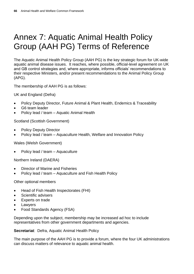# Annex 7: Aquatic Animal Health Policy Group (AAH PG) Terms of Reference

The Aquatic Animal Health Policy Group (AAH PG) is the key strategic forum for UK-wide aquatic animal disease issues. It reaches, where possible, official-level agreement on UK and GB control strategies and, where appropriate, informs officials' recommendations to their respective Ministers, and/or present recommendations to the Animal Policy Group (APG).

The membership of AAH PG is as follows:

UK and England (Defra)

- Policy Deputy Director, Future Animal & Plant Health, Endemics & Traceability
- G6 team leader
- Policy lead / team Aquatic Animal Health

Scotland (Scottish Government)

- Policy Deputy Director
- Policy lead / team Aquaculture Health, Welfare and Innovation Policy

Wales (Welsh Government)

• Policy lead / team – Aquaculture

Northern Ireland (DAERA)

- Director of Marine and Fisheries
- Policy lead / team Aquaculture and Fish Health Policy

Other optional members

- Head of Fish Health Inspectorates (FHI)
- Scientific advisers
- Experts on trade
- Lawyers
- Food Standards Agency (FSA)

Depending upon the subject, membership may be increased ad hoc to include representatives from other government departments and agencies.

**Secretariat**: Defra, Aquatic Animal Health Policy

The main purpose of the AAH PG is to provide a forum, where the four UK administrations can discuss matters of relevance to aquatic animal health.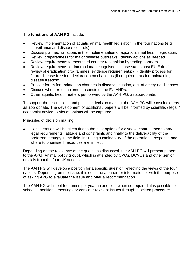#### The **functions of AAH PG** include:

- Review implementation of aquatic animal health legislation in the four nations (e.g. surveillance and disease controls).
- Discuss planned variations in the implementation of aquatic animal health legislation.
- Review preparedness for major disease outbreaks; identify actions as needed.
- Review requirements to meet third country recognition by trading partners.
- Review requirements for international recognised disease status post EU Exit: (i) review of eradication programmes, evidence requirements; (ii) identify process for future disease freedom declaration mechanisms (iii) requirements for maintaining disease freedom.
- Provide forum for updates on changes in disease situation, e.g. of emerging diseases.
- Discuss whether to implement aspects of the EU AHRs.
- Other aquatic health matters put forward by the AAH PG, as appropriate.

To support the discussions and possible decision making, the AAH PG will consult experts as appropriate. The development of positions / papers will be informed by scientific / legal / economist advice. Risks of options will be captured.

Principles of decision making:

• Consideration will be given first to the best options for disease control, then to any legal requirements, latitude and constraints and finally to the deliverability of the preferred strategy in the field, including sustainability of the operational response and where to prioritise if resources are limited.

Depending on the relevance of the questions discussed, the AAH PG will present papers to the APG (Animal policy group), which is attended by CVOs, DCVOs and other senior officials from the four UK nations.

The AAH PG will develop a position for a specific question reflecting the views of the four nations. Depending on the issue, this could be a paper for information or with the purpose of asking APG to evaluate the issue and offer a recommendation.

The AAH PG will meet four times per year; in addition, when so required, it is possible to schedule additional meetings or consider relevant issues through a written procedure.